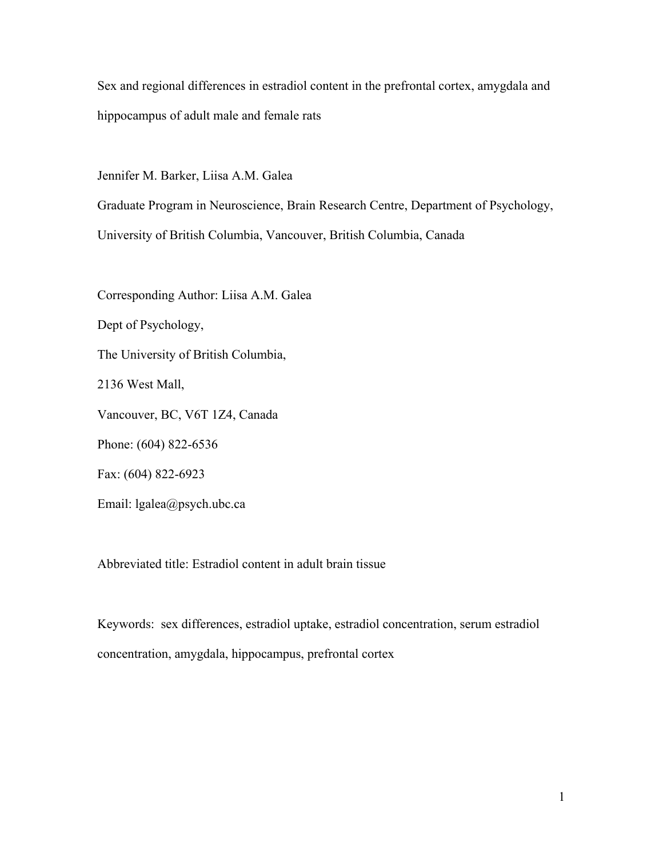Sex and regional differences in estradiol content in the prefrontal cortex, amygdala and hippocampus of adult male and female rats

Jennifer M. Barker, Liisa A.M. Galea

Graduate Program in Neuroscience, Brain Research Centre, Department of Psychology,

University of British Columbia, Vancouver, British Columbia, Canada

Corresponding Author: Liisa A.M. Galea Dept of Psychology, The University of British Columbia, 2136 West Mall, Vancouver, BC, V6T 1Z4, Canada Phone: (604) 822-6536 Fax: (604) 822-6923 Email: lgalea@psych.ubc.ca

Abbreviated title: Estradiol content in adult brain tissue

Keywords: sex differences, estradiol uptake, estradiol concentration, serum estradiol concentration, amygdala, hippocampus, prefrontal cortex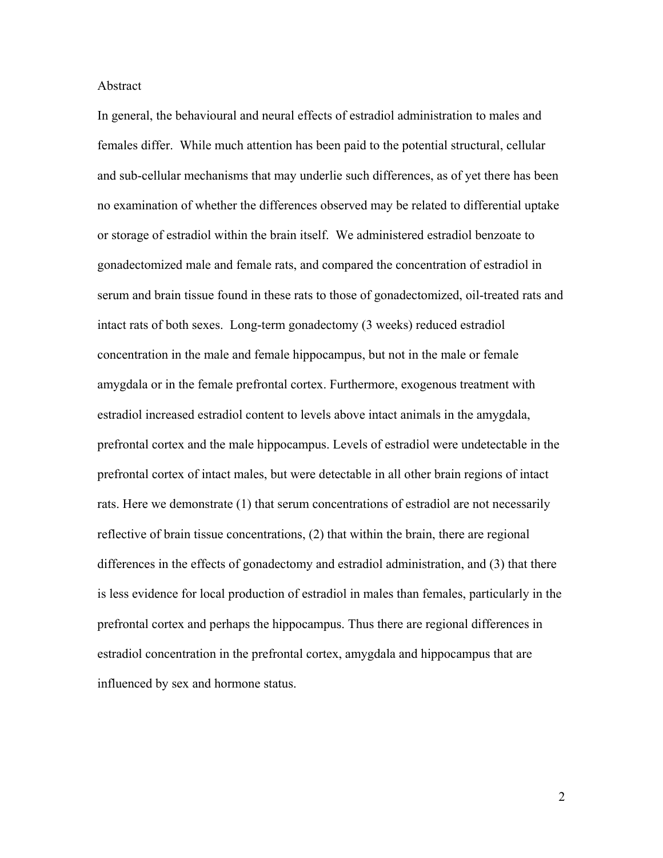# Abstract

In general, the behavioural and neural effects of estradiol administration to males and females differ. While much attention has been paid to the potential structural, cellular and sub-cellular mechanisms that may underlie such differences, as of yet there has been no examination of whether the differences observed may be related to differential uptake or storage of estradiol within the brain itself. We administered estradiol benzoate to gonadectomized male and female rats, and compared the concentration of estradiol in serum and brain tissue found in these rats to those of gonadectomized, oil-treated rats and intact rats of both sexes. Long-term gonadectomy (3 weeks) reduced estradiol concentration in the male and female hippocampus, but not in the male or female amygdala or in the female prefrontal cortex. Furthermore, exogenous treatment with estradiol increased estradiol content to levels above intact animals in the amygdala, prefrontal cortex and the male hippocampus. Levels of estradiol were undetectable in the prefrontal cortex of intact males, but were detectable in all other brain regions of intact rats. Here we demonstrate (1) that serum concentrations of estradiol are not necessarily reflective of brain tissue concentrations, (2) that within the brain, there are regional differences in the effects of gonadectomy and estradiol administration, and (3) that there is less evidence for local production of estradiol in males than females, particularly in the prefrontal cortex and perhaps the hippocampus. Thus there are regional differences in estradiol concentration in the prefrontal cortex, amygdala and hippocampus that are influenced by sex and hormone status.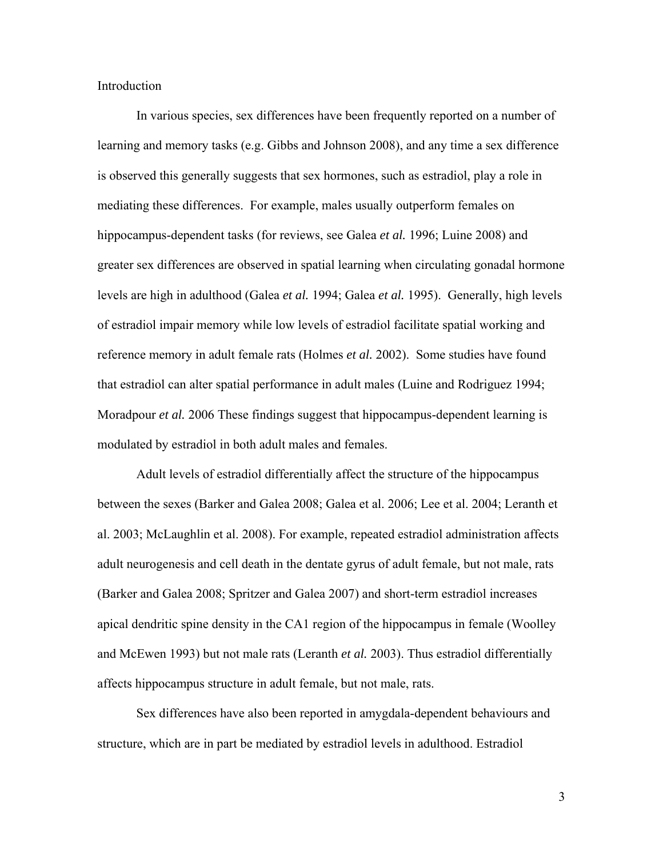Introduction

In various species, sex differences have been frequently reported on a number of learning and memory tasks (e.g. Gibbs and Johnson 2008), and any time a sex difference is observed this generally suggests that sex hormones, such as estradiol, play a role in mediating these differences. For example, males usually outperform females on hippocampus-dependent tasks (for reviews, see Galea *et al.* 1996; Luine 2008) and greater sex differences are observed in spatial learning when circulating gonadal hormone levels are high in adulthood (Galea *et al.* 1994; Galea *et al.* 1995). Generally, high levels of estradiol impair memory while low levels of estradiol facilitate spatial working and reference memory in adult female rats (Holmes *et al.* 2002). Some studies have found that estradiol can alter spatial performance in adult males (Luine and Rodriguez 1994; Moradpour *et al.* 2006 These findings suggest that hippocampus-dependent learning is modulated by estradiol in both adult males and females.

Adult levels of estradiol differentially affect the structure of the hippocampus between the sexes (Barker and Galea 2008; Galea et al. 2006; Lee et al. 2004; Leranth et al. 2003; McLaughlin et al. 2008). For example, repeated estradiol administration affects adult neurogenesis and cell death in the dentate gyrus of adult female, but not male, rats (Barker and Galea 2008; Spritzer and Galea 2007) and short-term estradiol increases apical dendritic spine density in the CA1 region of the hippocampus in female (Woolley and McEwen 1993) but not male rats (Leranth *et al.* 2003). Thus estradiol differentially affects hippocampus structure in adult female, but not male, rats.

Sex differences have also been reported in amygdala-dependent behaviours and structure, which are in part be mediated by estradiol levels in adulthood. Estradiol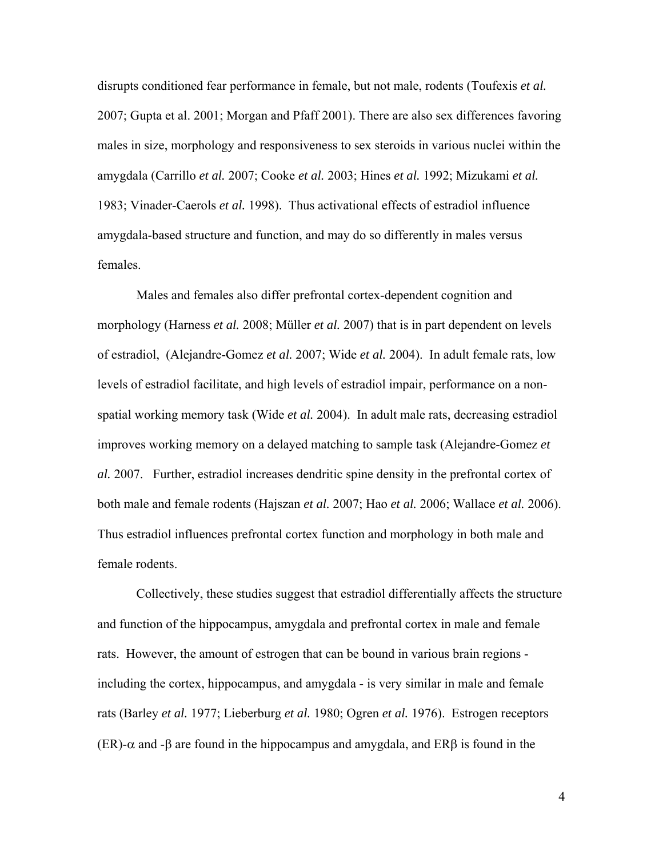disrupts conditioned fear performance in female, but not male, rodents (Toufexis *et al.* 2007; Gupta et al. 2001; Morgan and Pfaff 2001). There are also sex differences favoring males in size, morphology and responsiveness to sex steroids in various nuclei within the amygdala (Carrillo *et al.* 2007; Cooke *et al.* 2003; Hines *et al.* 1992; Mizukami *et al.* 1983; Vinader-Caerols *et al.* 1998). Thus activational effects of estradiol influence amygdala-based structure and function, and may do so differently in males versus females.

Males and females also differ prefrontal cortex-dependent cognition and morphology (Harness *et al.* 2008; Müller *et al.* 2007) that is in part dependent on levels of estradiol, (Alejandre-Gomez *et al.* 2007; Wide *et al.* 2004). In adult female rats, low levels of estradiol facilitate, and high levels of estradiol impair, performance on a nonspatial working memory task (Wide *et al.* 2004). In adult male rats, decreasing estradiol improves working memory on a delayed matching to sample task (Alejandre-Gomez *et al.* 2007. Further, estradiol increases dendritic spine density in the prefrontal cortex of both male and female rodents (Hajszan *et al.* 2007; Hao *et al.* 2006; Wallace *et al.* 2006). Thus estradiol influences prefrontal cortex function and morphology in both male and female rodents.

Collectively, these studies suggest that estradiol differentially affects the structure and function of the hippocampus, amygdala and prefrontal cortex in male and female rats. However, the amount of estrogen that can be bound in various brain regions including the cortex, hippocampus, and amygdala - is very similar in male and female rats (Barley *et al.* 1977; Lieberburg *et al.* 1980; Ogren *et al.* 1976). Estrogen receptors  $(ER)$ - $\alpha$  and - $\beta$  are found in the hippocampus and amygdala, and ER $\beta$  is found in the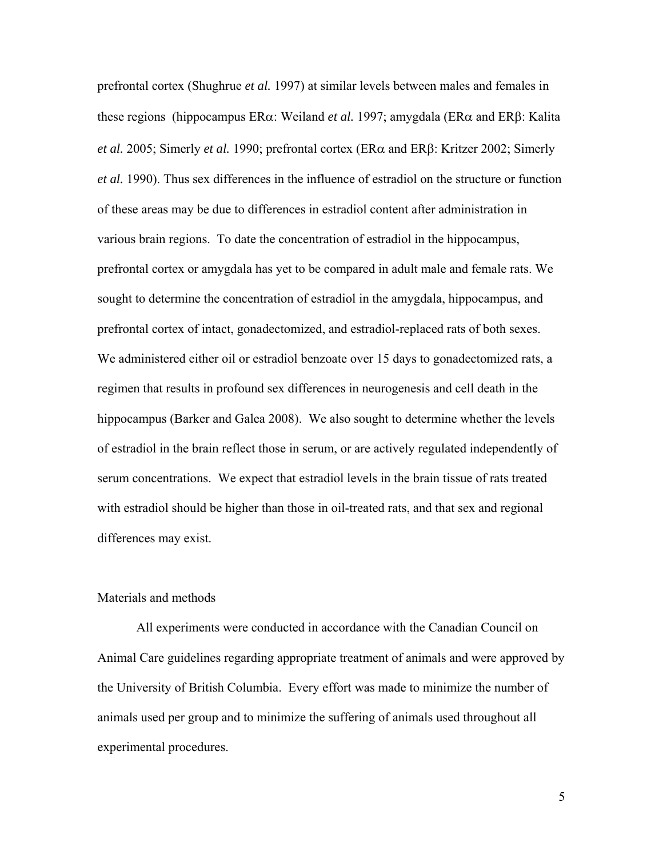prefrontal cortex (Shughrue *et al.* 1997) at similar levels between males and females in these regions (hippocampus ER $\alpha$ : Weiland *et al.* 1997; amygdala (ER $\alpha$  and ER $\beta$ : Kalita *et al.* 2005; Simerly *et al.* 1990; prefrontal cortex ( $ER\alpha$  and  $ER\beta$ : Kritzer 2002; Simerly *et al.* 1990). Thus sex differences in the influence of estradiol on the structure or function of these areas may be due to differences in estradiol content after administration in various brain regions. To date the concentration of estradiol in the hippocampus, prefrontal cortex or amygdala has yet to be compared in adult male and female rats. We sought to determine the concentration of estradiol in the amygdala, hippocampus, and prefrontal cortex of intact, gonadectomized, and estradiol-replaced rats of both sexes. We administered either oil or estradiol benzoate over 15 days to gonadectomized rats, a regimen that results in profound sex differences in neurogenesis and cell death in the hippocampus (Barker and Galea 2008). We also sought to determine whether the levels of estradiol in the brain reflect those in serum, or are actively regulated independently of serum concentrations. We expect that estradiol levels in the brain tissue of rats treated with estradiol should be higher than those in oil-treated rats, and that sex and regional differences may exist.

# Materials and methods

All experiments were conducted in accordance with the Canadian Council on Animal Care guidelines regarding appropriate treatment of animals and were approved by the University of British Columbia. Every effort was made to minimize the number of animals used per group and to minimize the suffering of animals used throughout all experimental procedures.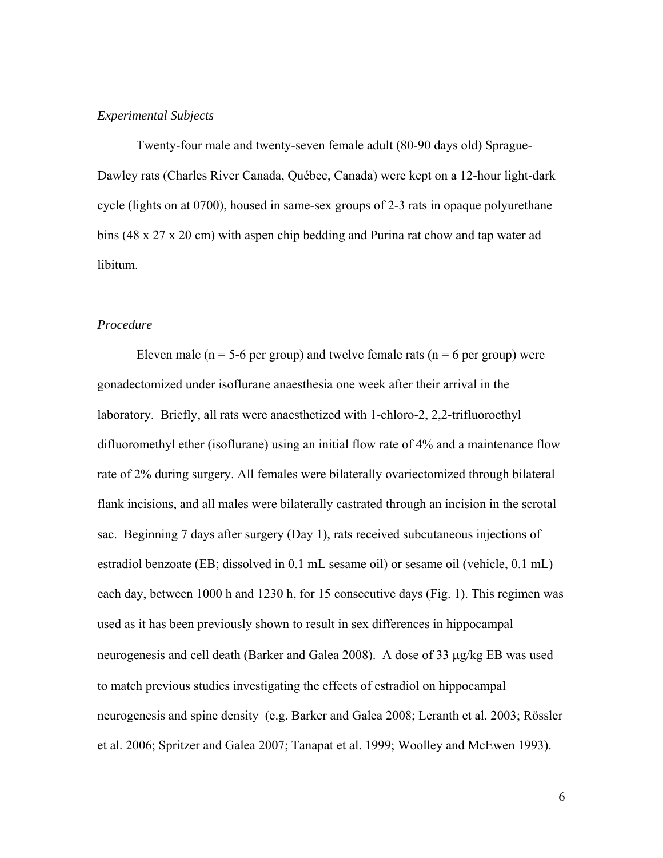# *Experimental Subjects*

Twenty-four male and twenty-seven female adult (80-90 days old) Sprague-Dawley rats (Charles River Canada, Québec, Canada) were kept on a 12-hour light-dark cycle (lights on at 0700), housed in same-sex groups of 2-3 rats in opaque polyurethane bins (48 x 27 x 20 cm) with aspen chip bedding and Purina rat chow and tap water ad libitum.

## *Procedure*

Eleven male ( $n = 5-6$  per group) and twelve female rats ( $n = 6$  per group) were gonadectomized under isoflurane anaesthesia one week after their arrival in the laboratory. Briefly, all rats were anaesthetized with 1-chloro-2, 2,2-trifluoroethyl difluoromethyl ether (isoflurane) using an initial flow rate of 4% and a maintenance flow rate of 2% during surgery. All females were bilaterally ovariectomized through bilateral flank incisions, and all males were bilaterally castrated through an incision in the scrotal sac. Beginning 7 days after surgery (Day 1), rats received subcutaneous injections of estradiol benzoate (EB; dissolved in 0.1 mL sesame oil) or sesame oil (vehicle, 0.1 mL) each day, between 1000 h and 1230 h, for 15 consecutive days (Fig. 1). This regimen was used as it has been previously shown to result in sex differences in hippocampal neurogenesis and cell death (Barker and Galea 2008). A dose of 33 µg/kg EB was used to match previous studies investigating the effects of estradiol on hippocampal neurogenesis and spine density (e.g. Barker and Galea 2008; Leranth et al. 2003; Rössler et al. 2006; Spritzer and Galea 2007; Tanapat et al. 1999; Woolley and McEwen 1993).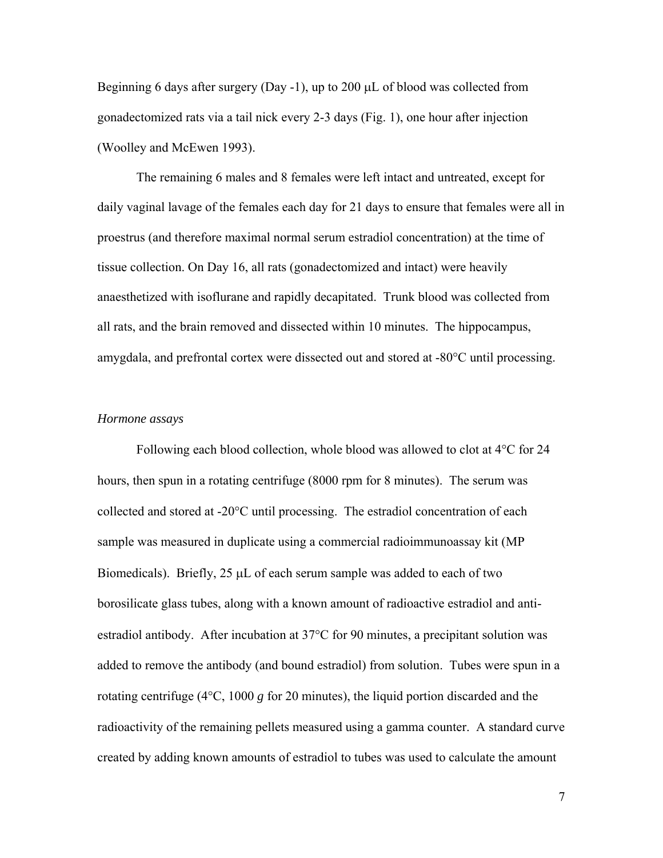Beginning 6 days after surgery (Day -1), up to 200  $\mu$ L of blood was collected from gonadectomized rats via a tail nick every 2-3 days (Fig. 1), one hour after injection (Woolley and McEwen 1993).

The remaining 6 males and 8 females were left intact and untreated, except for daily vaginal lavage of the females each day for 21 days to ensure that females were all in proestrus (and therefore maximal normal serum estradiol concentration) at the time of tissue collection. On Day 16, all rats (gonadectomized and intact) were heavily anaesthetized with isoflurane and rapidly decapitated. Trunk blood was collected from all rats, and the brain removed and dissected within 10 minutes. The hippocampus, amygdala, and prefrontal cortex were dissected out and stored at  $-80^{\circ}$ C until processing.

## *Hormone assays*

Following each blood collection, whole blood was allowed to clot at  $4^{\circ}$ C for 24 hours, then spun in a rotating centrifuge (8000 rpm for 8 minutes). The serum was collected and stored at  $-20^{\circ}$ C until processing. The estradiol concentration of each sample was measured in duplicate using a commercial radioimmunoassay kit (MP Biomedicals). Briefly,  $25 \mu L$  of each serum sample was added to each of two borosilicate glass tubes, along with a known amount of radioactive estradiol and antiestradiol antibody. After incubation at  $37^{\circ}$ C for 90 minutes, a precipitant solution was added to remove the antibody (and bound estradiol) from solution. Tubes were spun in a rotating centrifuge  $(4^{\circ}C, 1000 \text{ g}$  for 20 minutes), the liquid portion discarded and the radioactivity of the remaining pellets measured using a gamma counter. A standard curve created by adding known amounts of estradiol to tubes was used to calculate the amount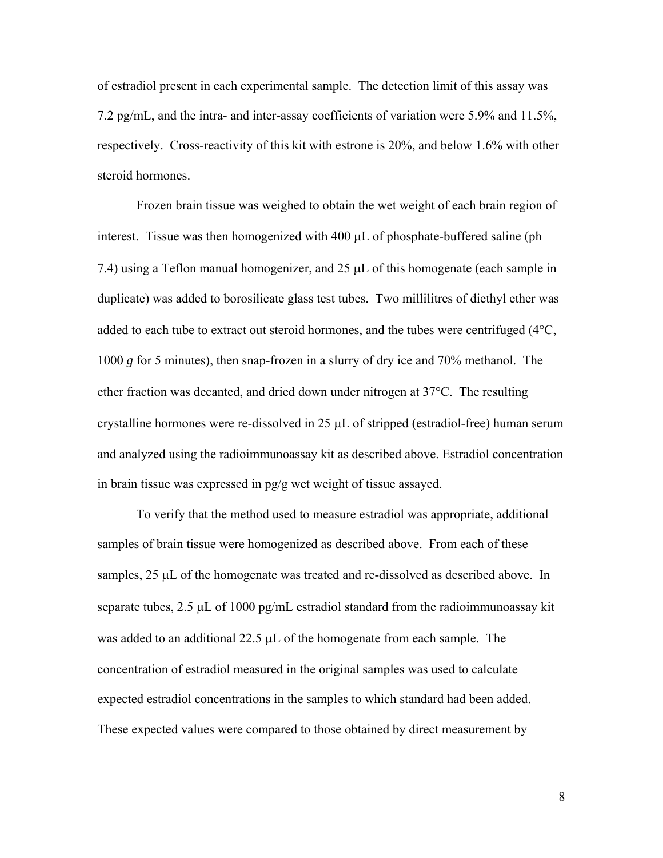of estradiol present in each experimental sample. The detection limit of this assay was 7.2 pg/mL, and the intra- and inter-assay coefficients of variation were 5.9% and 11.5%, respectively. Cross-reactivity of this kit with estrone is 20%, and below 1.6% with other steroid hormones.

Frozen brain tissue was weighed to obtain the wet weight of each brain region of interest. Tissue was then homogenized with  $400 \mu L$  of phosphate-buffered saline (ph 7.4) using a Teflon manual homogenizer, and  $25 \mu L$  of this homogenate (each sample in duplicate) was added to borosilicate glass test tubes. Two millilitres of diethyl ether was added to each tube to extract out steroid hormones, and the tubes were centrifuged  $(4^{\circ}C,$ 1000 *g* for 5 minutes), then snap-frozen in a slurry of dry ice and 70% methanol. The ether fraction was decanted, and dried down under nitrogen at  $37^{\circ}$ C. The resulting crystalline hormones were re-dissolved in  $25 \mu L$  of stripped (estradiol-free) human serum and analyzed using the radioimmunoassay kit as described above. Estradiol concentration in brain tissue was expressed in pg/g wet weight of tissue assayed.

 To verify that the method used to measure estradiol was appropriate, additional samples of brain tissue were homogenized as described above. From each of these samples, 25 µL of the homogenate was treated and re-dissolved as described above. In separate tubes,  $2.5 \mu L$  of 1000 pg/mL estradiol standard from the radioimmunoassay kit was added to an additional 22.5  $\mu$ L of the homogenate from each sample. The concentration of estradiol measured in the original samples was used to calculate expected estradiol concentrations in the samples to which standard had been added. These expected values were compared to those obtained by direct measurement by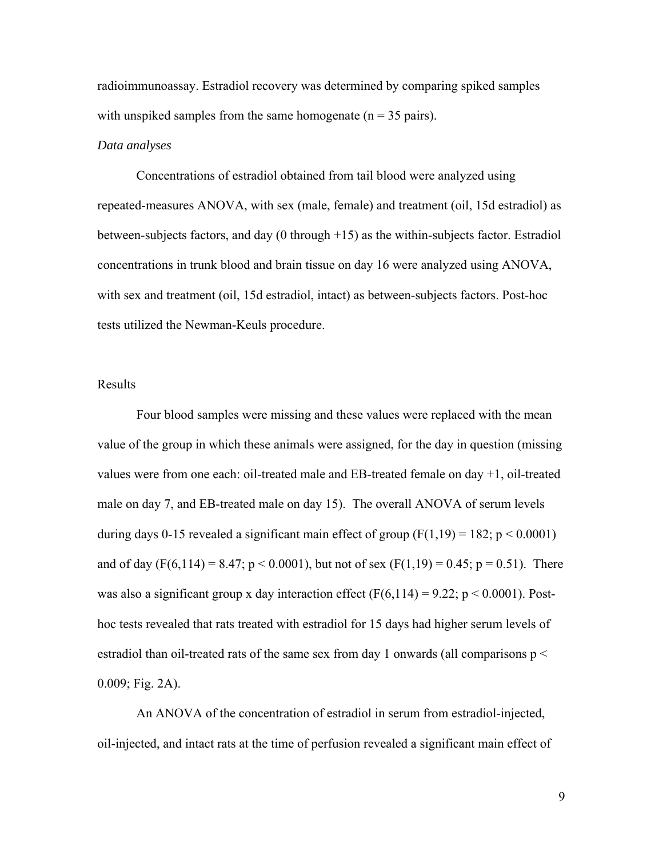radioimmunoassay. Estradiol recovery was determined by comparing spiked samples with unspiked samples from the same homogenate ( $n = 35$  pairs).

#### *Data analyses*

Concentrations of estradiol obtained from tail blood were analyzed using repeated-measures ANOVA, with sex (male, female) and treatment (oil, 15d estradiol) as between-subjects factors, and day (0 through +15) as the within-subjects factor. Estradiol concentrations in trunk blood and brain tissue on day 16 were analyzed using ANOVA, with sex and treatment (oil, 15d estradiol, intact) as between-subjects factors. Post-hoc tests utilized the Newman-Keuls procedure.

# Results

Four blood samples were missing and these values were replaced with the mean value of the group in which these animals were assigned, for the day in question (missing values were from one each: oil-treated male and EB-treated female on day +1, oil-treated male on day 7, and EB-treated male on day 15). The overall ANOVA of serum levels during days 0-15 revealed a significant main effect of group  $(F(1,19) = 182; p < 0.0001)$ and of day (F(6,114) = 8.47;  $p < 0.0001$ ), but not of sex (F(1,19) = 0.45;  $p = 0.51$ ). There was also a significant group x day interaction effect (F(6,114) = 9.22; p < 0.0001). Posthoc tests revealed that rats treated with estradiol for 15 days had higher serum levels of estradiol than oil-treated rats of the same sex from day 1 onwards (all comparisons  $p <$ 0.009; Fig. 2A).

An ANOVA of the concentration of estradiol in serum from estradiol-injected, oil-injected, and intact rats at the time of perfusion revealed a significant main effect of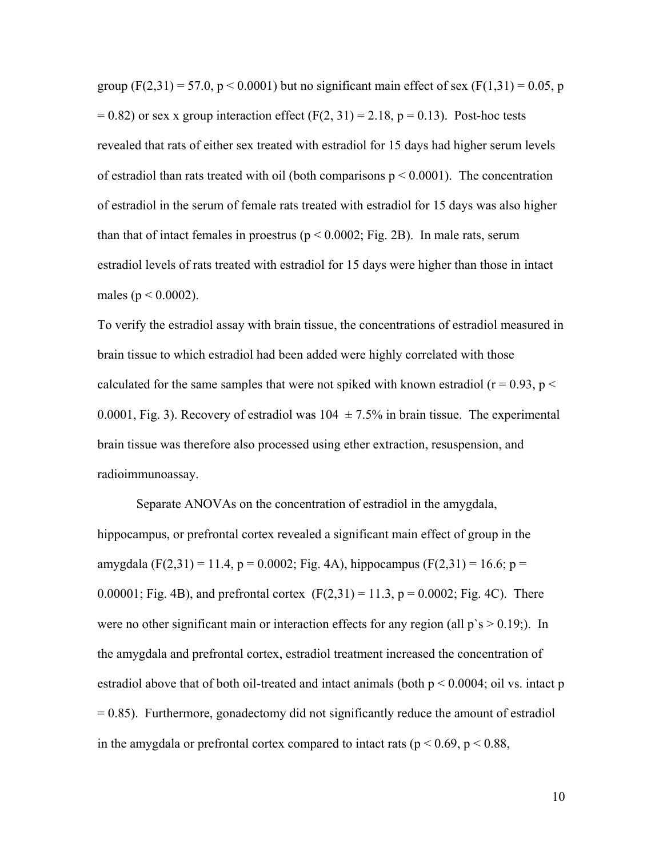group  $(F(2,31) = 57.0, p < 0.0001)$  but no significant main effect of sex  $(F(1,31) = 0.05, p$  $= 0.82$ ) or sex x group interaction effect (F(2, 31) = 2.18, p = 0.13). Post-hoc tests revealed that rats of either sex treated with estradiol for 15 days had higher serum levels of estradiol than rats treated with oil (both comparisons  $p \le 0.0001$ ). The concentration of estradiol in the serum of female rats treated with estradiol for 15 days was also higher than that of intact females in proestrus ( $p < 0.0002$ ; Fig. 2B). In male rats, serum estradiol levels of rats treated with estradiol for 15 days were higher than those in intact males ( $p < 0.0002$ ).

To verify the estradiol assay with brain tissue, the concentrations of estradiol measured in brain tissue to which estradiol had been added were highly correlated with those calculated for the same samples that were not spiked with known estradiol ( $r = 0.93$ ,  $p <$ 0.0001, Fig. 3). Recovery of estradiol was  $104 \pm 7.5\%$  in brain tissue. The experimental brain tissue was therefore also processed using ether extraction, resuspension, and radioimmunoassay.

Separate ANOVAs on the concentration of estradiol in the amygdala, hippocampus, or prefrontal cortex revealed a significant main effect of group in the amygdala (F(2,31) = 11.4, p = 0.0002; Fig. 4A), hippocampus (F(2,31) = 16.6; p = 0.00001; Fig. 4B), and prefrontal cortex  $(F(2,31) = 11.3, p = 0.0002;$  Fig. 4C). There were no other significant main or interaction effects for any region (all  $p$ 's  $> 0.19$ ;). In the amygdala and prefrontal cortex, estradiol treatment increased the concentration of estradiol above that of both oil-treated and intact animals (both  $p \le 0.0004$ ; oil vs. intact p  $= 0.85$ ). Furthermore, gonadectomy did not significantly reduce the amount of estradiol in the amygdala or prefrontal cortex compared to intact rats ( $p < 0.69$ ,  $p < 0.88$ ,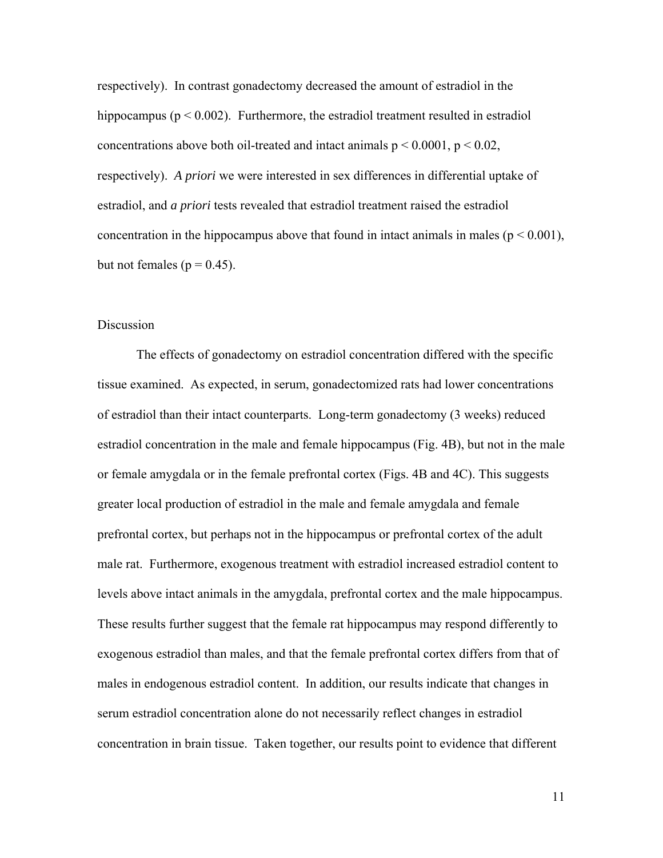respectively). In contrast gonadectomy decreased the amount of estradiol in the hippocampus ( $p < 0.002$ ). Furthermore, the estradiol treatment resulted in estradiol concentrations above both oil-treated and intact animals  $p \le 0.0001$ ,  $p \le 0.02$ , respectively). *A priori* we were interested in sex differences in differential uptake of estradiol, and *a priori* tests revealed that estradiol treatment raised the estradiol concentration in the hippocampus above that found in intact animals in males ( $p < 0.001$ ), but not females ( $p = 0.45$ ).

# Discussion

The effects of gonadectomy on estradiol concentration differed with the specific tissue examined. As expected, in serum, gonadectomized rats had lower concentrations of estradiol than their intact counterparts. Long-term gonadectomy (3 weeks) reduced estradiol concentration in the male and female hippocampus (Fig. 4B), but not in the male or female amygdala or in the female prefrontal cortex (Figs. 4B and 4C). This suggests greater local production of estradiol in the male and female amygdala and female prefrontal cortex, but perhaps not in the hippocampus or prefrontal cortex of the adult male rat. Furthermore, exogenous treatment with estradiol increased estradiol content to levels above intact animals in the amygdala, prefrontal cortex and the male hippocampus. These results further suggest that the female rat hippocampus may respond differently to exogenous estradiol than males, and that the female prefrontal cortex differs from that of males in endogenous estradiol content. In addition, our results indicate that changes in serum estradiol concentration alone do not necessarily reflect changes in estradiol concentration in brain tissue. Taken together, our results point to evidence that different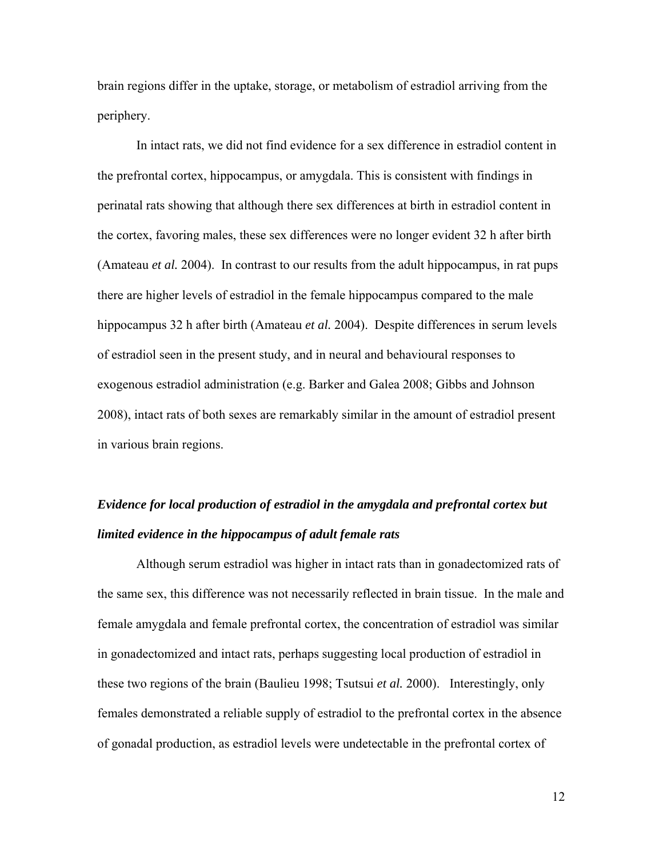brain regions differ in the uptake, storage, or metabolism of estradiol arriving from the periphery.

In intact rats, we did not find evidence for a sex difference in estradiol content in the prefrontal cortex, hippocampus, or amygdala. This is consistent with findings in perinatal rats showing that although there sex differences at birth in estradiol content in the cortex, favoring males, these sex differences were no longer evident 32 h after birth (Amateau *et al.* 2004). In contrast to our results from the adult hippocampus, in rat pups there are higher levels of estradiol in the female hippocampus compared to the male hippocampus 32 h after birth (Amateau *et al.* 2004). Despite differences in serum levels of estradiol seen in the present study, and in neural and behavioural responses to exogenous estradiol administration (e.g. Barker and Galea 2008; Gibbs and Johnson 2008), intact rats of both sexes are remarkably similar in the amount of estradiol present in various brain regions.

# *Evidence for local production of estradiol in the amygdala and prefrontal cortex but limited evidence in the hippocampus of adult female rats*

Although serum estradiol was higher in intact rats than in gonadectomized rats of the same sex, this difference was not necessarily reflected in brain tissue. In the male and female amygdala and female prefrontal cortex, the concentration of estradiol was similar in gonadectomized and intact rats, perhaps suggesting local production of estradiol in these two regions of the brain (Baulieu 1998; Tsutsui *et al.* 2000). Interestingly, only females demonstrated a reliable supply of estradiol to the prefrontal cortex in the absence of gonadal production, as estradiol levels were undetectable in the prefrontal cortex of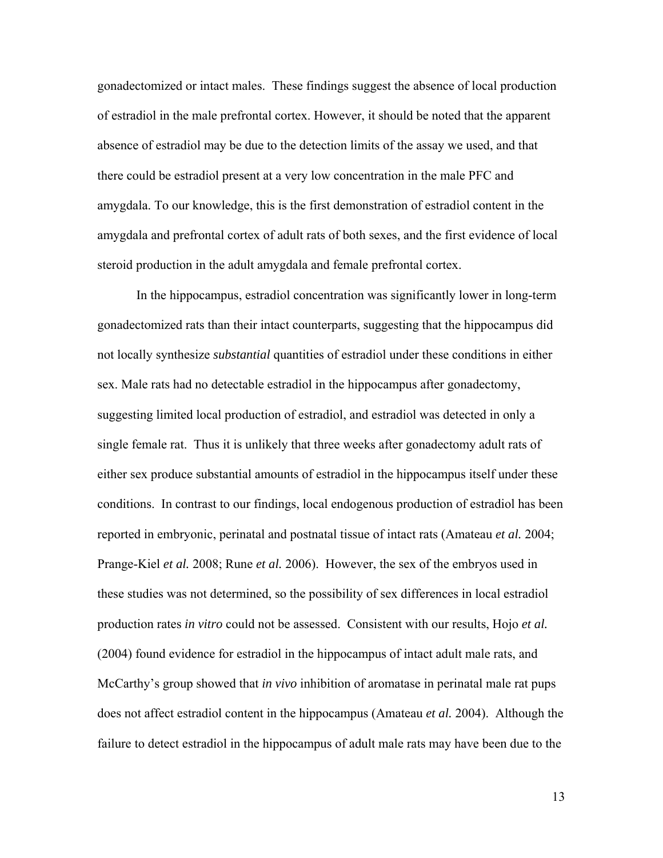gonadectomized or intact males. These findings suggest the absence of local production of estradiol in the male prefrontal cortex. However, it should be noted that the apparent absence of estradiol may be due to the detection limits of the assay we used, and that there could be estradiol present at a very low concentration in the male PFC and amygdala. To our knowledge, this is the first demonstration of estradiol content in the amygdala and prefrontal cortex of adult rats of both sexes, and the first evidence of local steroid production in the adult amygdala and female prefrontal cortex.

In the hippocampus, estradiol concentration was significantly lower in long-term gonadectomized rats than their intact counterparts, suggesting that the hippocampus did not locally synthesize *substantial* quantities of estradiol under these conditions in either sex. Male rats had no detectable estradiol in the hippocampus after gonadectomy, suggesting limited local production of estradiol, and estradiol was detected in only a single female rat. Thus it is unlikely that three weeks after gonadectomy adult rats of either sex produce substantial amounts of estradiol in the hippocampus itself under these conditions. In contrast to our findings, local endogenous production of estradiol has been reported in embryonic, perinatal and postnatal tissue of intact rats (Amateau *et al.* 2004; Prange-Kiel *et al.* 2008; Rune *et al.* 2006). However, the sex of the embryos used in these studies was not determined, so the possibility of sex differences in local estradiol production rates *in vitro* could not be assessed. Consistent with our results, Hojo *et al.* (2004) found evidence for estradiol in the hippocampus of intact adult male rats, and McCarthy's group showed that *in vivo* inhibition of aromatase in perinatal male rat pups does not affect estradiol content in the hippocampus (Amateau *et al.* 2004). Although the failure to detect estradiol in the hippocampus of adult male rats may have been due to the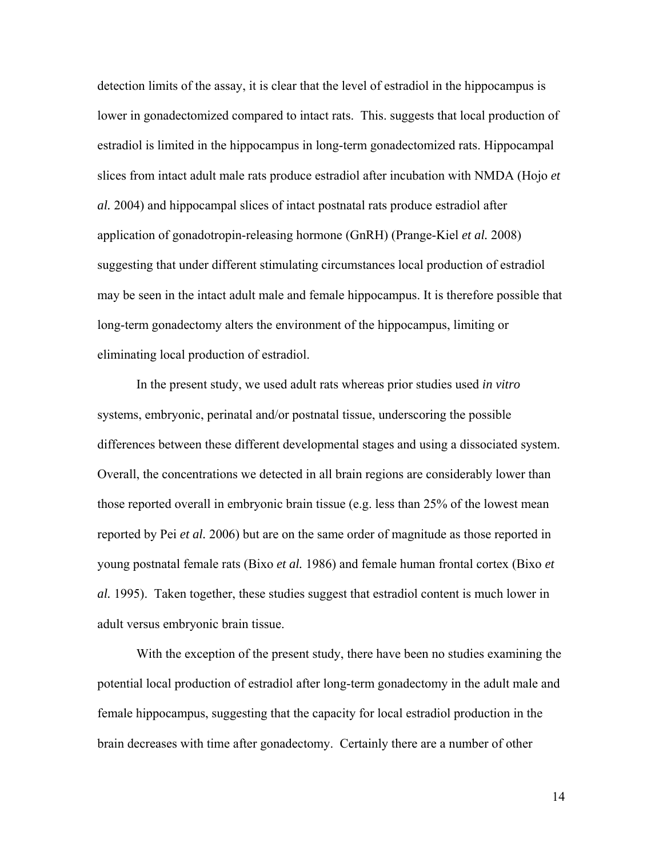detection limits of the assay, it is clear that the level of estradiol in the hippocampus is lower in gonadectomized compared to intact rats. This. suggests that local production of estradiol is limited in the hippocampus in long-term gonadectomized rats. Hippocampal slices from intact adult male rats produce estradiol after incubation with NMDA (Hojo *et al.* 2004) and hippocampal slices of intact postnatal rats produce estradiol after application of gonadotropin-releasing hormone (GnRH) (Prange-Kiel *et al.* 2008) suggesting that under different stimulating circumstances local production of estradiol may be seen in the intact adult male and female hippocampus. It is therefore possible that long-term gonadectomy alters the environment of the hippocampus, limiting or eliminating local production of estradiol.

In the present study, we used adult rats whereas prior studies used *in vitro*  systems, embryonic, perinatal and/or postnatal tissue, underscoring the possible differences between these different developmental stages and using a dissociated system. Overall, the concentrations we detected in all brain regions are considerably lower than those reported overall in embryonic brain tissue (e.g. less than 25% of the lowest mean reported by Pei *et al.* 2006) but are on the same order of magnitude as those reported in young postnatal female rats (Bixo *et al.* 1986) and female human frontal cortex (Bixo *et al.* 1995). Taken together, these studies suggest that estradiol content is much lower in adult versus embryonic brain tissue.

With the exception of the present study, there have been no studies examining the potential local production of estradiol after long-term gonadectomy in the adult male and female hippocampus, suggesting that the capacity for local estradiol production in the brain decreases with time after gonadectomy. Certainly there are a number of other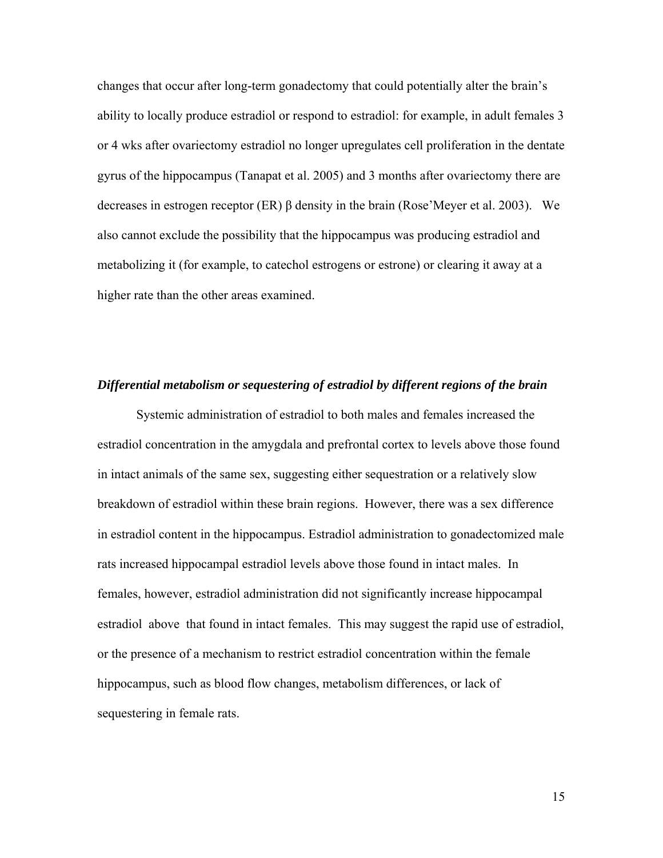changes that occur after long-term gonadectomy that could potentially alter the brain's ability to locally produce estradiol or respond to estradiol: for example, in adult females 3 or 4 wks after ovariectomy estradiol no longer upregulates cell proliferation in the dentate gyrus of the hippocampus (Tanapat et al. 2005) and 3 months after ovariectomy there are decreases in estrogen receptor (ER) β density in the brain (Rose'Meyer et al. 2003). We also cannot exclude the possibility that the hippocampus was producing estradiol and metabolizing it (for example, to catechol estrogens or estrone) or clearing it away at a higher rate than the other areas examined.

#### *Differential metabolism or sequestering of estradiol by different regions of the brain*

Systemic administration of estradiol to both males and females increased the estradiol concentration in the amygdala and prefrontal cortex to levels above those found in intact animals of the same sex, suggesting either sequestration or a relatively slow breakdown of estradiol within these brain regions. However, there was a sex difference in estradiol content in the hippocampus. Estradiol administration to gonadectomized male rats increased hippocampal estradiol levels above those found in intact males. In females, however, estradiol administration did not significantly increase hippocampal estradiol above that found in intact females. This may suggest the rapid use of estradiol, or the presence of a mechanism to restrict estradiol concentration within the female hippocampus, such as blood flow changes, metabolism differences, or lack of sequestering in female rats.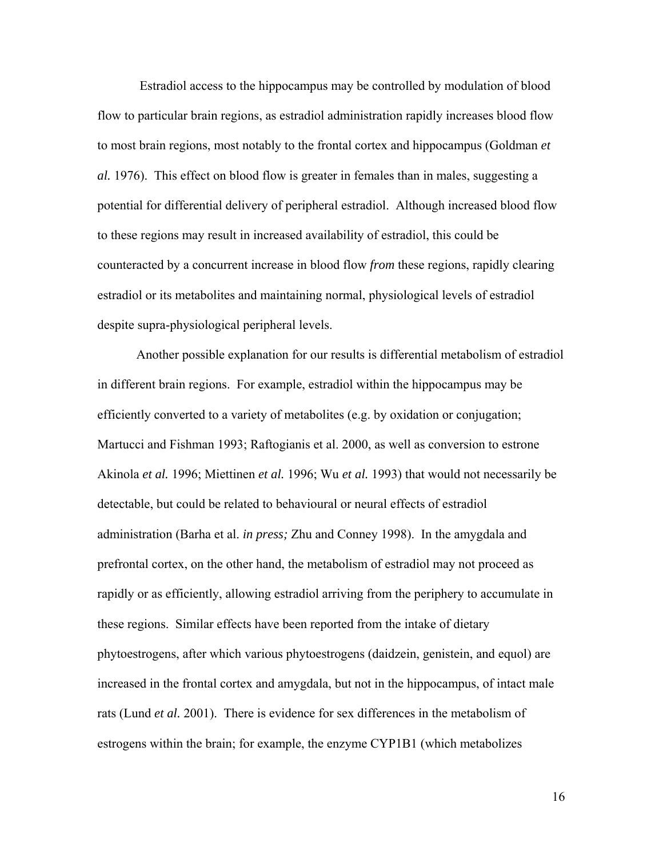Estradiol access to the hippocampus may be controlled by modulation of blood flow to particular brain regions, as estradiol administration rapidly increases blood flow to most brain regions, most notably to the frontal cortex and hippocampus (Goldman *et al.* 1976). This effect on blood flow is greater in females than in males, suggesting a potential for differential delivery of peripheral estradiol. Although increased blood flow to these regions may result in increased availability of estradiol, this could be counteracted by a concurrent increase in blood flow *from* these regions, rapidly clearing estradiol or its metabolites and maintaining normal, physiological levels of estradiol despite supra-physiological peripheral levels.

Another possible explanation for our results is differential metabolism of estradiol in different brain regions. For example, estradiol within the hippocampus may be efficiently converted to a variety of metabolites (e.g. by oxidation or conjugation; Martucci and Fishman 1993; Raftogianis et al. 2000, as well as conversion to estrone Akinola *et al.* 1996; Miettinen *et al.* 1996; Wu *et al.* 1993) that would not necessarily be detectable, but could be related to behavioural or neural effects of estradiol administration (Barha et al. *in press;* Zhu and Conney 1998). In the amygdala and prefrontal cortex, on the other hand, the metabolism of estradiol may not proceed as rapidly or as efficiently, allowing estradiol arriving from the periphery to accumulate in these regions. Similar effects have been reported from the intake of dietary phytoestrogens, after which various phytoestrogens (daidzein, genistein, and equol) are increased in the frontal cortex and amygdala, but not in the hippocampus, of intact male rats (Lund *et al.* 2001). There is evidence for sex differences in the metabolism of estrogens within the brain; for example, the enzyme CYP1B1 (which metabolizes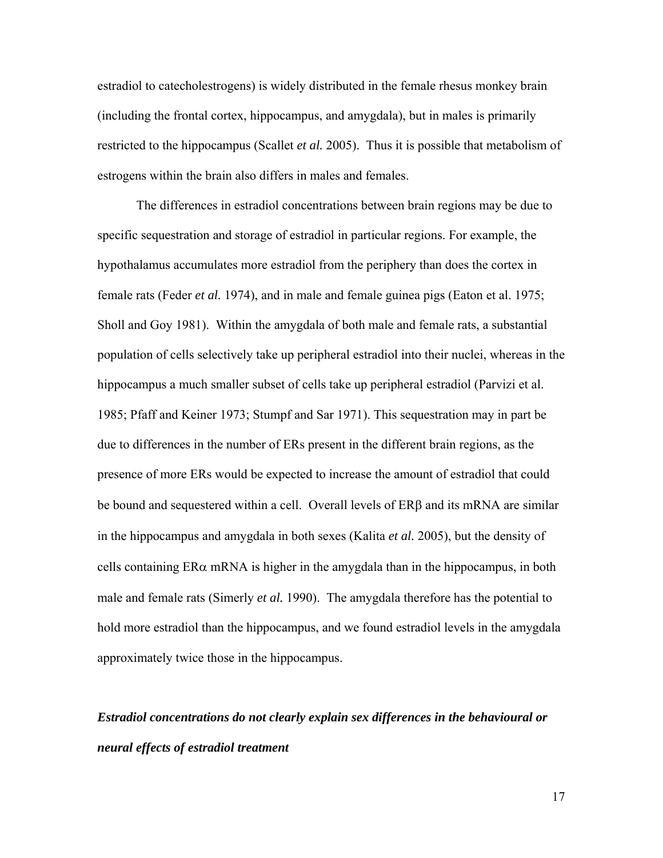estradiol to catecholestrogens) is widely distributed in the female rhesus monkey brain (including the frontal cortex, hippocampus, and amygdala), but in males is primarily restricted to the hippocampus (Scallet *et al.* 2005). Thus it is possible that metabolism of estrogens within the brain also differs in males and females.

 The differences in estradiol concentrations between brain regions may be due to specific sequestration and storage of estradiol in particular regions. For example, the hypothalamus accumulates more estradiol from the periphery than does the cortex in female rats (Feder *et al.* 1974), and in male and female guinea pigs (Eaton et al. 1975; Sholl and Goy 1981). Within the amygdala of both male and female rats, a substantial population of cells selectively take up peripheral estradiol into their nuclei, whereas in the hippocampus a much smaller subset of cells take up peripheral estradiol (Parvizi et al. 1985; Pfaff and Keiner 1973; Stumpf and Sar 1971). This sequestration may in part be due to differences in the number of ERs present in the different brain regions, as the presence of more ERs would be expected to increase the amount of estradiol that could be bound and sequestered within a cell. Overall levels of  $ER\beta$  and its mRNA are similar in the hippocampus and amygdala in both sexes (Kalita *et al.* 2005), but the density of cells containing  $ER\alpha$  mRNA is higher in the amygdala than in the hippocampus, in both male and female rats (Simerly *et al.* 1990). The amygdala therefore has the potential to hold more estradiol than the hippocampus, and we found estradiol levels in the amygdala approximately twice those in the hippocampus.

# *Estradiol concentrations do not clearly explain sex differences in the behavioural or neural effects of estradiol treatment*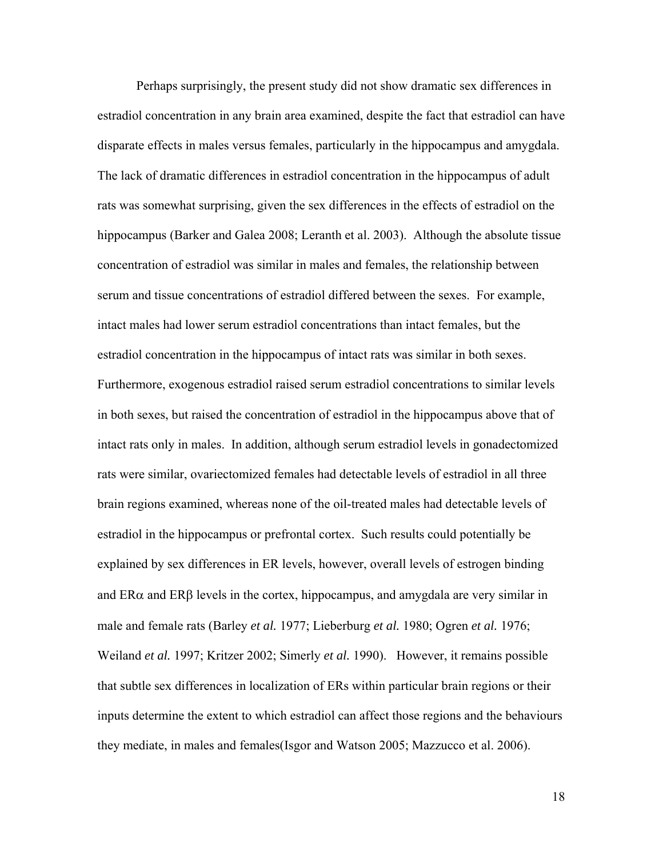Perhaps surprisingly, the present study did not show dramatic sex differences in estradiol concentration in any brain area examined, despite the fact that estradiol can have disparate effects in males versus females, particularly in the hippocampus and amygdala. The lack of dramatic differences in estradiol concentration in the hippocampus of adult rats was somewhat surprising, given the sex differences in the effects of estradiol on the hippocampus (Barker and Galea 2008; Leranth et al. 2003). Although the absolute tissue concentration of estradiol was similar in males and females, the relationship between serum and tissue concentrations of estradiol differed between the sexes. For example, intact males had lower serum estradiol concentrations than intact females, but the estradiol concentration in the hippocampus of intact rats was similar in both sexes. Furthermore, exogenous estradiol raised serum estradiol concentrations to similar levels in both sexes, but raised the concentration of estradiol in the hippocampus above that of intact rats only in males. In addition, although serum estradiol levels in gonadectomized rats were similar, ovariectomized females had detectable levels of estradiol in all three brain regions examined, whereas none of the oil-treated males had detectable levels of estradiol in the hippocampus or prefrontal cortex. Such results could potentially be explained by sex differences in ER levels, however, overall levels of estrogen binding and  $ER\alpha$  and  $ER\beta$  levels in the cortex, hippocampus, and amygdala are very similar in male and female rats (Barley *et al.* 1977; Lieberburg *et al.* 1980; Ogren *et al.* 1976; Weiland *et al.* 1997; Kritzer 2002; Simerly *et al.* 1990). However, it remains possible that subtle sex differences in localization of ERs within particular brain regions or their inputs determine the extent to which estradiol can affect those regions and the behaviours they mediate, in males and females(Isgor and Watson 2005; Mazzucco et al. 2006).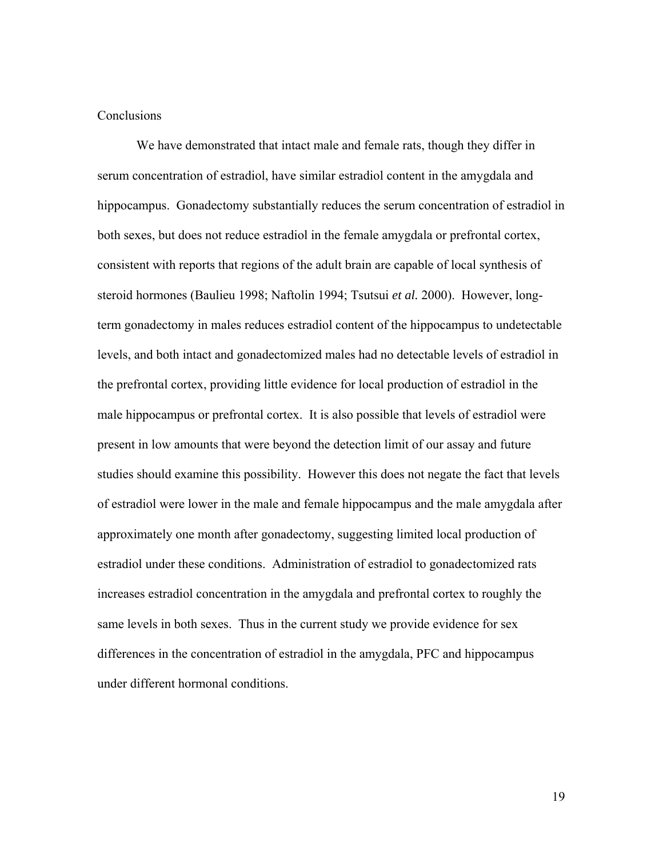# **Conclusions**

 We have demonstrated that intact male and female rats, though they differ in serum concentration of estradiol, have similar estradiol content in the amygdala and hippocampus. Gonadectomy substantially reduces the serum concentration of estradiol in both sexes, but does not reduce estradiol in the female amygdala or prefrontal cortex, consistent with reports that regions of the adult brain are capable of local synthesis of steroid hormones (Baulieu 1998; Naftolin 1994; Tsutsui *et al.* 2000). However, longterm gonadectomy in males reduces estradiol content of the hippocampus to undetectable levels, and both intact and gonadectomized males had no detectable levels of estradiol in the prefrontal cortex, providing little evidence for local production of estradiol in the male hippocampus or prefrontal cortex. It is also possible that levels of estradiol were present in low amounts that were beyond the detection limit of our assay and future studies should examine this possibility. However this does not negate the fact that levels of estradiol were lower in the male and female hippocampus and the male amygdala after approximately one month after gonadectomy, suggesting limited local production of estradiol under these conditions. Administration of estradiol to gonadectomized rats increases estradiol concentration in the amygdala and prefrontal cortex to roughly the same levels in both sexes. Thus in the current study we provide evidence for sex differences in the concentration of estradiol in the amygdala, PFC and hippocampus under different hormonal conditions.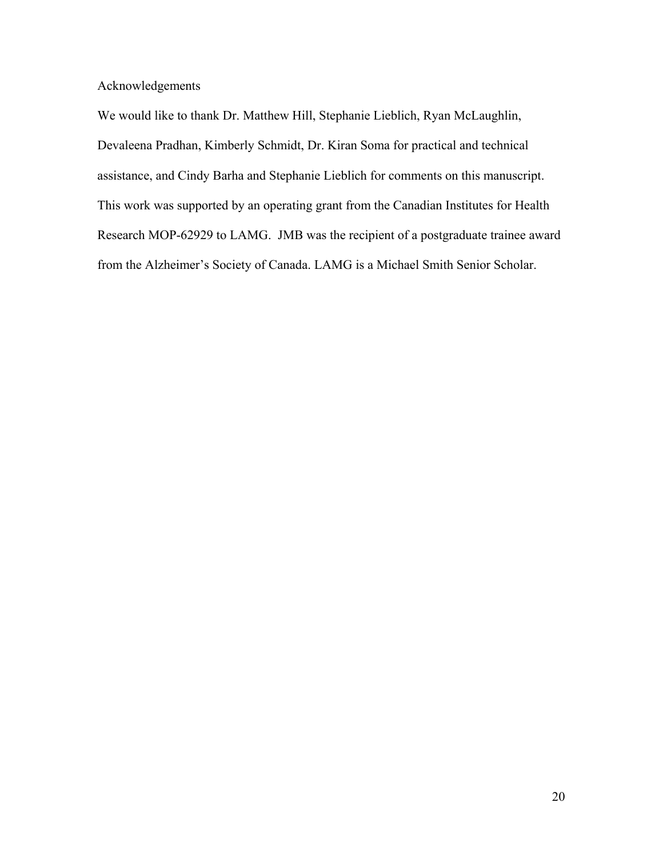Acknowledgements

We would like to thank Dr. Matthew Hill, Stephanie Lieblich, Ryan McLaughlin, Devaleena Pradhan, Kimberly Schmidt, Dr. Kiran Soma for practical and technical assistance, and Cindy Barha and Stephanie Lieblich for comments on this manuscript. This work was supported by an operating grant from the Canadian Institutes for Health Research MOP-62929 to LAMG. JMB was the recipient of a postgraduate trainee award from the Alzheimer's Society of Canada. LAMG is a Michael Smith Senior Scholar.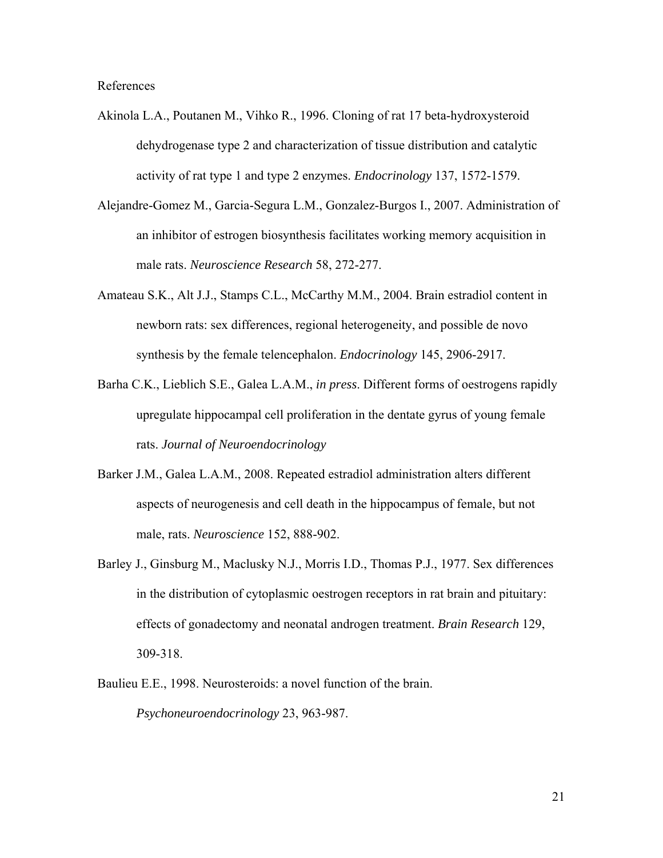References

- Akinola L.A., Poutanen M., Vihko R., 1996. Cloning of rat 17 beta-hydroxysteroid dehydrogenase type 2 and characterization of tissue distribution and catalytic activity of rat type 1 and type 2 enzymes. *Endocrinology* 137, 1572-1579.
- Alejandre-Gomez M., Garcia-Segura L.M., Gonzalez-Burgos I., 2007. Administration of an inhibitor of estrogen biosynthesis facilitates working memory acquisition in male rats. *Neuroscience Research* 58, 272-277.
- Amateau S.K., Alt J.J., Stamps C.L., McCarthy M.M., 2004. Brain estradiol content in newborn rats: sex differences, regional heterogeneity, and possible de novo synthesis by the female telencephalon. *Endocrinology* 145, 2906-2917.
- Barha C.K., Lieblich S.E., Galea L.A.M., *in press*. Different forms of oestrogens rapidly upregulate hippocampal cell proliferation in the dentate gyrus of young female rats. *Journal of Neuroendocrinology*
- Barker J.M., Galea L.A.M., 2008. Repeated estradiol administration alters different aspects of neurogenesis and cell death in the hippocampus of female, but not male, rats. *Neuroscience* 152, 888-902.
- Barley J., Ginsburg M., Maclusky N.J., Morris I.D., Thomas P.J., 1977. Sex differences in the distribution of cytoplasmic oestrogen receptors in rat brain and pituitary: effects of gonadectomy and neonatal androgen treatment. *Brain Research* 129, 309-318.
- Baulieu E.E., 1998. Neurosteroids: a novel function of the brain. *Psychoneuroendocrinology* 23, 963-987.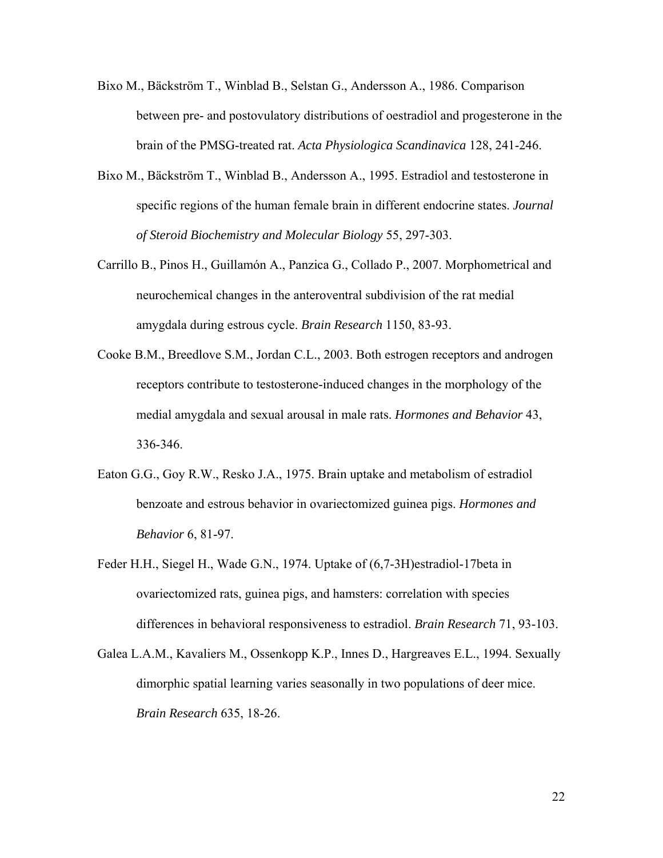- Bixo M., Bäckström T., Winblad B., Selstan G., Andersson A., 1986. Comparison between pre- and postovulatory distributions of oestradiol and progesterone in the brain of the PMSG-treated rat. *Acta Physiologica Scandinavica* 128, 241-246.
- Bixo M., Bäckström T., Winblad B., Andersson A., 1995. Estradiol and testosterone in specific regions of the human female brain in different endocrine states. *Journal of Steroid Biochemistry and Molecular Biology* 55, 297-303.
- Carrillo B., Pinos H., Guillamón A., Panzica G., Collado P., 2007. Morphometrical and neurochemical changes in the anteroventral subdivision of the rat medial amygdala during estrous cycle. *Brain Research* 1150, 83-93.
- Cooke B.M., Breedlove S.M., Jordan C.L., 2003. Both estrogen receptors and androgen receptors contribute to testosterone-induced changes in the morphology of the medial amygdala and sexual arousal in male rats. *Hormones and Behavior* 43, 336-346.
- Eaton G.G., Goy R.W., Resko J.A., 1975. Brain uptake and metabolism of estradiol benzoate and estrous behavior in ovariectomized guinea pigs. *Hormones and Behavior* 6, 81-97.
- Feder H.H., Siegel H., Wade G.N., 1974. Uptake of (6,7-3H)estradiol-17beta in ovariectomized rats, guinea pigs, and hamsters: correlation with species differences in behavioral responsiveness to estradiol. *Brain Research* 71, 93-103.
- Galea L.A.M., Kavaliers M., Ossenkopp K.P., Innes D., Hargreaves E.L., 1994. Sexually dimorphic spatial learning varies seasonally in two populations of deer mice. *Brain Research* 635, 18-26.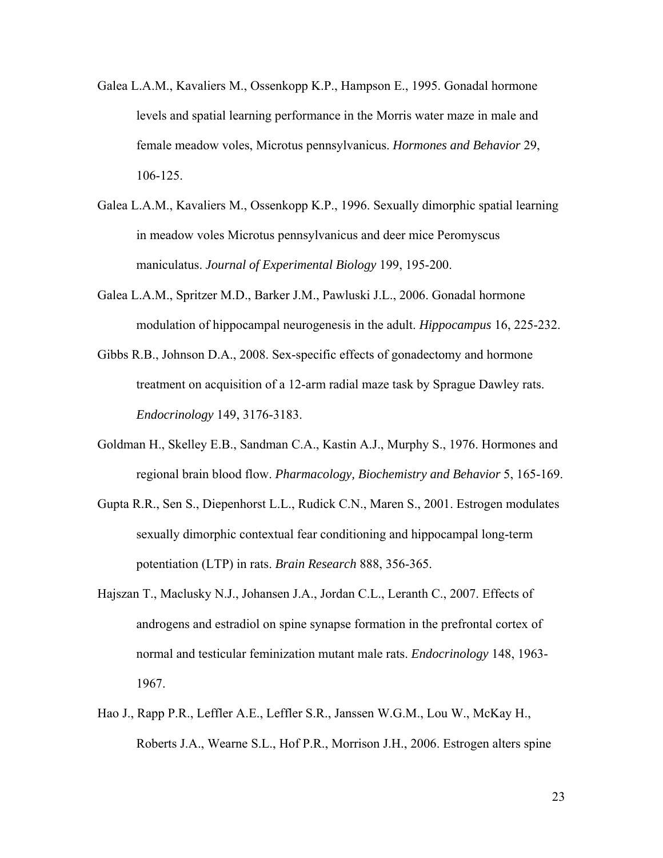- Galea L.A.M., Kavaliers M., Ossenkopp K.P., Hampson E., 1995. Gonadal hormone levels and spatial learning performance in the Morris water maze in male and female meadow voles, Microtus pennsylvanicus. *Hormones and Behavior* 29, 106-125.
- Galea L.A.M., Kavaliers M., Ossenkopp K.P., 1996. Sexually dimorphic spatial learning in meadow voles Microtus pennsylvanicus and deer mice Peromyscus maniculatus. *Journal of Experimental Biology* 199, 195-200.
- Galea L.A.M., Spritzer M.D., Barker J.M., Pawluski J.L., 2006. Gonadal hormone modulation of hippocampal neurogenesis in the adult. *Hippocampus* 16, 225-232.
- Gibbs R.B., Johnson D.A., 2008. Sex-specific effects of gonadectomy and hormone treatment on acquisition of a 12-arm radial maze task by Sprague Dawley rats. *Endocrinology* 149, 3176-3183.
- Goldman H., Skelley E.B., Sandman C.A., Kastin A.J., Murphy S., 1976. Hormones and regional brain blood flow. *Pharmacology, Biochemistry and Behavior* 5, 165-169.
- Gupta R.R., Sen S., Diepenhorst L.L., Rudick C.N., Maren S., 2001. Estrogen modulates sexually dimorphic contextual fear conditioning and hippocampal long-term potentiation (LTP) in rats. *Brain Research* 888, 356-365.
- Hajszan T., Maclusky N.J., Johansen J.A., Jordan C.L., Leranth C., 2007. Effects of androgens and estradiol on spine synapse formation in the prefrontal cortex of normal and testicular feminization mutant male rats. *Endocrinology* 148, 1963- 1967.
- Hao J., Rapp P.R., Leffler A.E., Leffler S.R., Janssen W.G.M., Lou W., McKay H., Roberts J.A., Wearne S.L., Hof P.R., Morrison J.H., 2006. Estrogen alters spine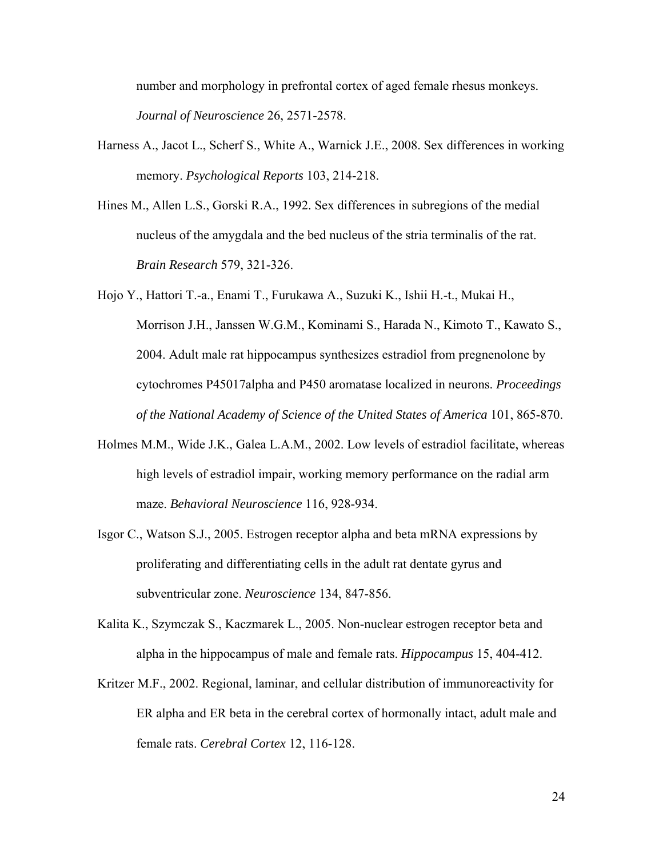number and morphology in prefrontal cortex of aged female rhesus monkeys. *Journal of Neuroscience* 26, 2571-2578.

- Harness A., Jacot L., Scherf S., White A., Warnick J.E., 2008. Sex differences in working memory. *Psychological Reports* 103, 214-218.
- Hines M., Allen L.S., Gorski R.A., 1992. Sex differences in subregions of the medial nucleus of the amygdala and the bed nucleus of the stria terminalis of the rat. *Brain Research* 579, 321-326.

Hojo Y., Hattori T.-a., Enami T., Furukawa A., Suzuki K., Ishii H.-t., Mukai H., Morrison J.H., Janssen W.G.M., Kominami S., Harada N., Kimoto T., Kawato S., 2004. Adult male rat hippocampus synthesizes estradiol from pregnenolone by cytochromes P45017alpha and P450 aromatase localized in neurons. *Proceedings of the National Academy of Science of the United States of America* 101, 865-870.

- Holmes M.M., Wide J.K., Galea L.A.M., 2002. Low levels of estradiol facilitate, whereas high levels of estradiol impair, working memory performance on the radial arm maze. *Behavioral Neuroscience* 116, 928-934.
- Isgor C., Watson S.J., 2005. Estrogen receptor alpha and beta mRNA expressions by proliferating and differentiating cells in the adult rat dentate gyrus and subventricular zone. *Neuroscience* 134, 847-856.
- Kalita K., Szymczak S., Kaczmarek L., 2005. Non-nuclear estrogen receptor beta and alpha in the hippocampus of male and female rats. *Hippocampus* 15, 404-412.
- Kritzer M.F., 2002. Regional, laminar, and cellular distribution of immunoreactivity for ER alpha and ER beta in the cerebral cortex of hormonally intact, adult male and female rats. *Cerebral Cortex* 12, 116-128.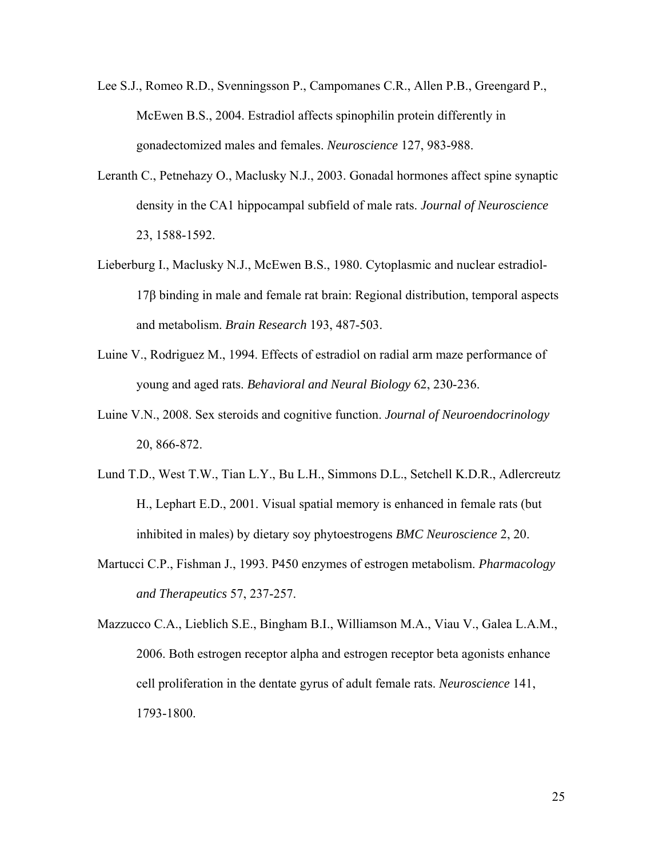- Lee S.J., Romeo R.D., Svenningsson P., Campomanes C.R., Allen P.B., Greengard P., McEwen B.S., 2004. Estradiol affects spinophilin protein differently in gonadectomized males and females. *Neuroscience* 127, 983-988.
- Leranth C., Petnehazy O., Maclusky N.J., 2003. Gonadal hormones affect spine synaptic density in the CA1 hippocampal subfield of male rats. *Journal of Neuroscience*  23, 1588-1592.
- Lieberburg I., Maclusky N.J., McEwen B.S., 1980. Cytoplasmic and nuclear estradiol-17β binding in male and female rat brain: Regional distribution, temporal aspects and metabolism. *Brain Research* 193, 487-503.
- Luine V., Rodriguez M., 1994. Effects of estradiol on radial arm maze performance of young and aged rats. *Behavioral and Neural Biology* 62, 230-236.
- Luine V.N., 2008. Sex steroids and cognitive function. *Journal of Neuroendocrinology*  20, 866-872.
- Lund T.D., West T.W., Tian L.Y., Bu L.H., Simmons D.L., Setchell K.D.R., Adlercreutz H., Lephart E.D., 2001. Visual spatial memory is enhanced in female rats (but inhibited in males) by dietary soy phytoestrogens *BMC Neuroscience* 2, 20.
- Martucci C.P., Fishman J., 1993. P450 enzymes of estrogen metabolism. *Pharmacology and Therapeutics* 57, 237-257.
- Mazzucco C.A., Lieblich S.E., Bingham B.I., Williamson M.A., Viau V., Galea L.A.M., 2006. Both estrogen receptor alpha and estrogen receptor beta agonists enhance cell proliferation in the dentate gyrus of adult female rats. *Neuroscience* 141, 1793-1800.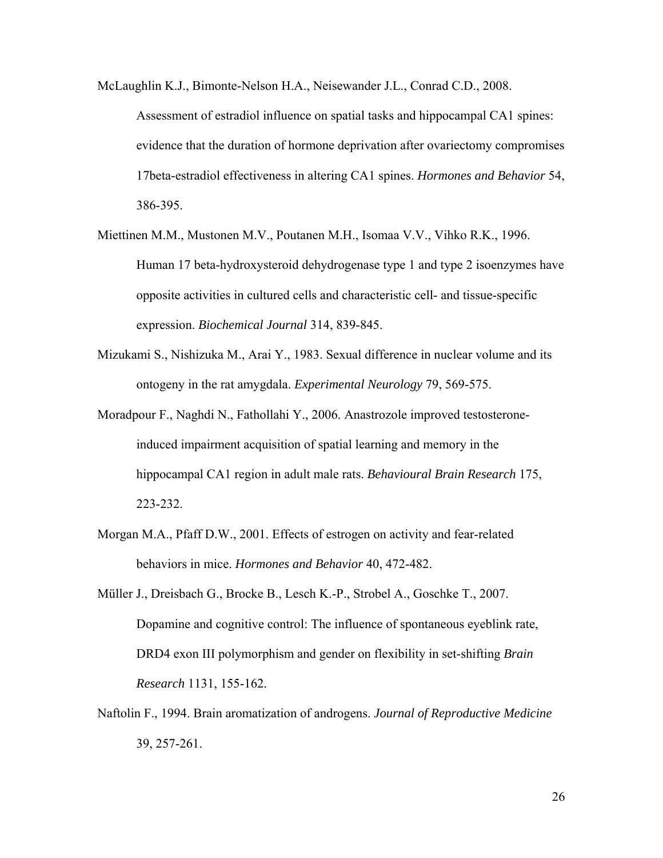- McLaughlin K.J., Bimonte-Nelson H.A., Neisewander J.L., Conrad C.D., 2008. Assessment of estradiol influence on spatial tasks and hippocampal CA1 spines: evidence that the duration of hormone deprivation after ovariectomy compromises 17beta-estradiol effectiveness in altering CA1 spines. *Hormones and Behavior* 54, 386-395.
- Miettinen M.M., Mustonen M.V., Poutanen M.H., Isomaa V.V., Vihko R.K., 1996. Human 17 beta-hydroxysteroid dehydrogenase type 1 and type 2 isoenzymes have opposite activities in cultured cells and characteristic cell- and tissue-specific expression. *Biochemical Journal* 314, 839-845.
- Mizukami S., Nishizuka M., Arai Y., 1983. Sexual difference in nuclear volume and its ontogeny in the rat amygdala. *Experimental Neurology* 79, 569-575.
- Moradpour F., Naghdi N., Fathollahi Y., 2006. Anastrozole improved testosteroneinduced impairment acquisition of spatial learning and memory in the hippocampal CA1 region in adult male rats. *Behavioural Brain Research* 175, 223-232.
- Morgan M.A., Pfaff D.W., 2001. Effects of estrogen on activity and fear-related behaviors in mice. *Hormones and Behavior* 40, 472-482.
- Müller J., Dreisbach G., Brocke B., Lesch K.-P., Strobel A., Goschke T., 2007. Dopamine and cognitive control: The influence of spontaneous eyeblink rate, DRD4 exon III polymorphism and gender on flexibility in set-shifting *Brain Research* 1131, 155-162.
- Naftolin F., 1994. Brain aromatization of androgens. *Journal of Reproductive Medicine*  39, 257-261.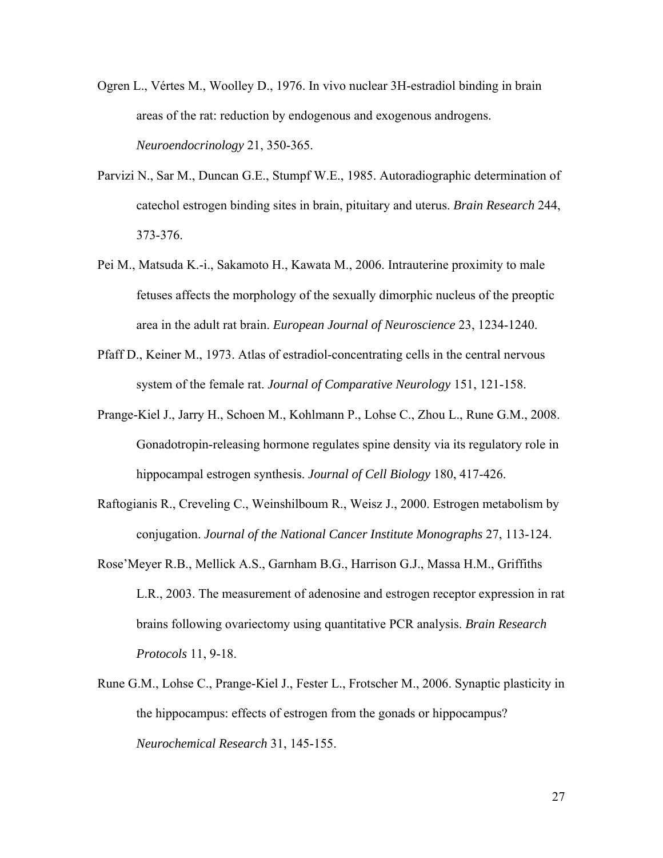- Ogren L., Vértes M., Woolley D., 1976. In vivo nuclear 3H-estradiol binding in brain areas of the rat: reduction by endogenous and exogenous androgens. *Neuroendocrinology* 21, 350-365.
- Parvizi N., Sar M., Duncan G.E., Stumpf W.E., 1985. Autoradiographic determination of catechol estrogen binding sites in brain, pituitary and uterus. *Brain Research* 244, 373-376.
- Pei M., Matsuda K.-i., Sakamoto H., Kawata M., 2006. Intrauterine proximity to male fetuses affects the morphology of the sexually dimorphic nucleus of the preoptic area in the adult rat brain. *European Journal of Neuroscience* 23, 1234-1240.
- Pfaff D., Keiner M., 1973. Atlas of estradiol-concentrating cells in the central nervous system of the female rat. *Journal of Comparative Neurology* 151, 121-158.
- Prange-Kiel J., Jarry H., Schoen M., Kohlmann P., Lohse C., Zhou L., Rune G.M., 2008. Gonadotropin-releasing hormone regulates spine density via its regulatory role in hippocampal estrogen synthesis. *Journal of Cell Biology* 180, 417-426.
- Raftogianis R., Creveling C., Weinshilboum R., Weisz J., 2000. Estrogen metabolism by conjugation. *Journal of the National Cancer Institute Monographs* 27, 113-124.
- Rose'Meyer R.B., Mellick A.S., Garnham B.G., Harrison G.J., Massa H.M., Griffiths L.R., 2003. The measurement of adenosine and estrogen receptor expression in rat brains following ovariectomy using quantitative PCR analysis. *Brain Research Protocols* 11, 9-18.
- Rune G.M., Lohse C., Prange-Kiel J., Fester L., Frotscher M., 2006. Synaptic plasticity in the hippocampus: effects of estrogen from the gonads or hippocampus? *Neurochemical Research* 31, 145-155.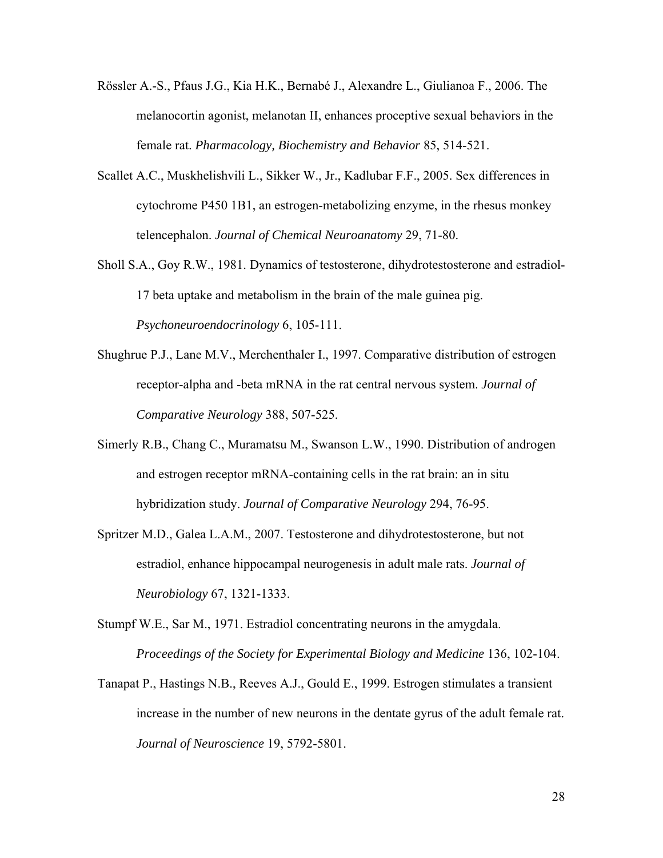- Rössler A.-S., Pfaus J.G., Kia H.K., Bernabé J., Alexandre L., Giulianoa F., 2006. The melanocortin agonist, melanotan II, enhances proceptive sexual behaviors in the female rat. *Pharmacology, Biochemistry and Behavior* 85, 514-521.
- Scallet A.C., Muskhelishvili L., Sikker W., Jr., Kadlubar F.F., 2005. Sex differences in cytochrome P450 1B1, an estrogen-metabolizing enzyme, in the rhesus monkey telencephalon. *Journal of Chemical Neuroanatomy* 29, 71-80.
- Sholl S.A., Goy R.W., 1981. Dynamics of testosterone, dihydrotestosterone and estradiol-17 beta uptake and metabolism in the brain of the male guinea pig. *Psychoneuroendocrinology* 6, 105-111.
- Shughrue P.J., Lane M.V., Merchenthaler I., 1997. Comparative distribution of estrogen receptor-alpha and -beta mRNA in the rat central nervous system. *Journal of Comparative Neurology* 388, 507-525.
- Simerly R.B., Chang C., Muramatsu M., Swanson L.W., 1990. Distribution of androgen and estrogen receptor mRNA-containing cells in the rat brain: an in situ hybridization study. *Journal of Comparative Neurology* 294, 76-95.
- Spritzer M.D., Galea L.A.M., 2007. Testosterone and dihydrotestosterone, but not estradiol, enhance hippocampal neurogenesis in adult male rats. *Journal of Neurobiology* 67, 1321-1333.
- Stumpf W.E., Sar M., 1971. Estradiol concentrating neurons in the amygdala. *Proceedings of the Society for Experimental Biology and Medicine* 136, 102-104.
- Tanapat P., Hastings N.B., Reeves A.J., Gould E., 1999. Estrogen stimulates a transient increase in the number of new neurons in the dentate gyrus of the adult female rat. *Journal of Neuroscience* 19, 5792-5801.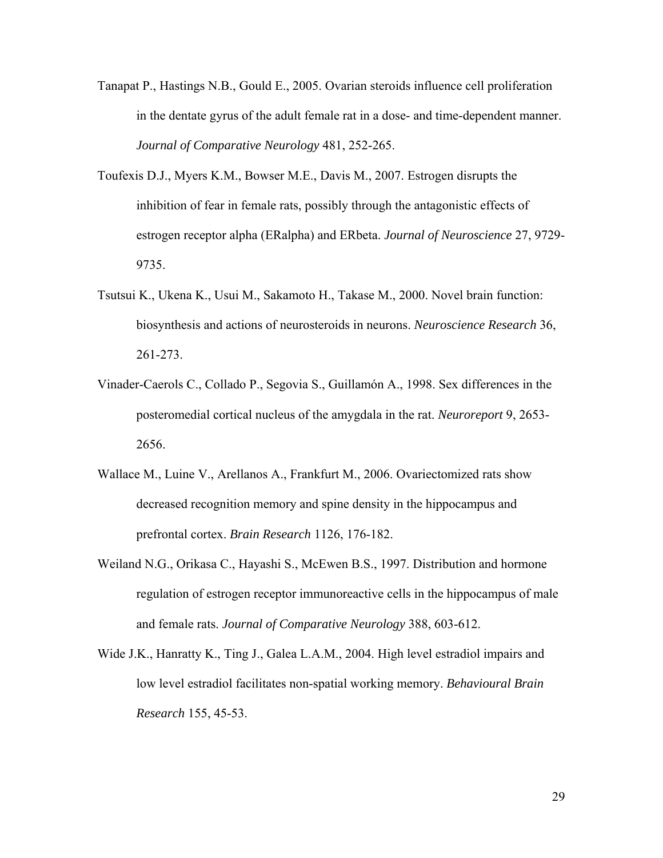- Tanapat P., Hastings N.B., Gould E., 2005. Ovarian steroids influence cell proliferation in the dentate gyrus of the adult female rat in a dose- and time-dependent manner. *Journal of Comparative Neurology* 481, 252-265.
- Toufexis D.J., Myers K.M., Bowser M.E., Davis M., 2007. Estrogen disrupts the inhibition of fear in female rats, possibly through the antagonistic effects of estrogen receptor alpha (ERalpha) and ERbeta. *Journal of Neuroscience* 27, 9729- 9735.
- Tsutsui K., Ukena K., Usui M., Sakamoto H., Takase M., 2000. Novel brain function: biosynthesis and actions of neurosteroids in neurons. *Neuroscience Research* 36, 261-273.
- Vinader-Caerols C., Collado P., Segovia S., Guillamón A., 1998. Sex differences in the posteromedial cortical nucleus of the amygdala in the rat. *Neuroreport* 9, 2653- 2656.
- Wallace M., Luine V., Arellanos A., Frankfurt M., 2006. Ovariectomized rats show decreased recognition memory and spine density in the hippocampus and prefrontal cortex. *Brain Research* 1126, 176-182.
- Weiland N.G., Orikasa C., Hayashi S., McEwen B.S., 1997. Distribution and hormone regulation of estrogen receptor immunoreactive cells in the hippocampus of male and female rats. *Journal of Comparative Neurology* 388, 603-612.
- Wide J.K., Hanratty K., Ting J., Galea L.A.M., 2004. High level estradiol impairs and low level estradiol facilitates non-spatial working memory. *Behavioural Brain Research* 155, 45-53.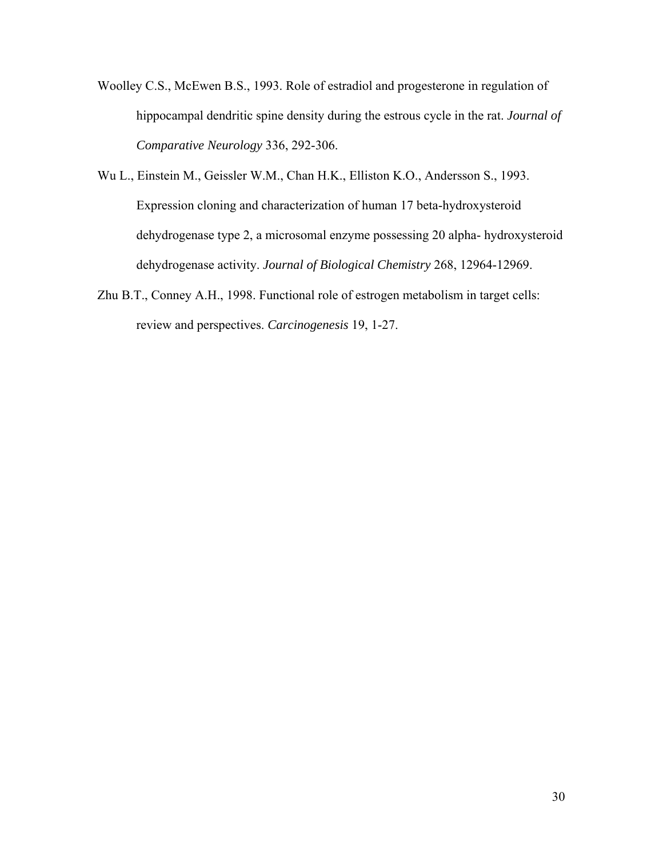- Woolley C.S., McEwen B.S., 1993. Role of estradiol and progesterone in regulation of hippocampal dendritic spine density during the estrous cycle in the rat. *Journal of Comparative Neurology* 336, 292-306.
- Wu L., Einstein M., Geissler W.M., Chan H.K., Elliston K.O., Andersson S., 1993. Expression cloning and characterization of human 17 beta-hydroxysteroid dehydrogenase type 2, a microsomal enzyme possessing 20 alpha- hydroxysteroid dehydrogenase activity. *Journal of Biological Chemistry* 268, 12964-12969.
- Zhu B.T., Conney A.H., 1998. Functional role of estrogen metabolism in target cells: review and perspectives. *Carcinogenesis* 19, 1-27.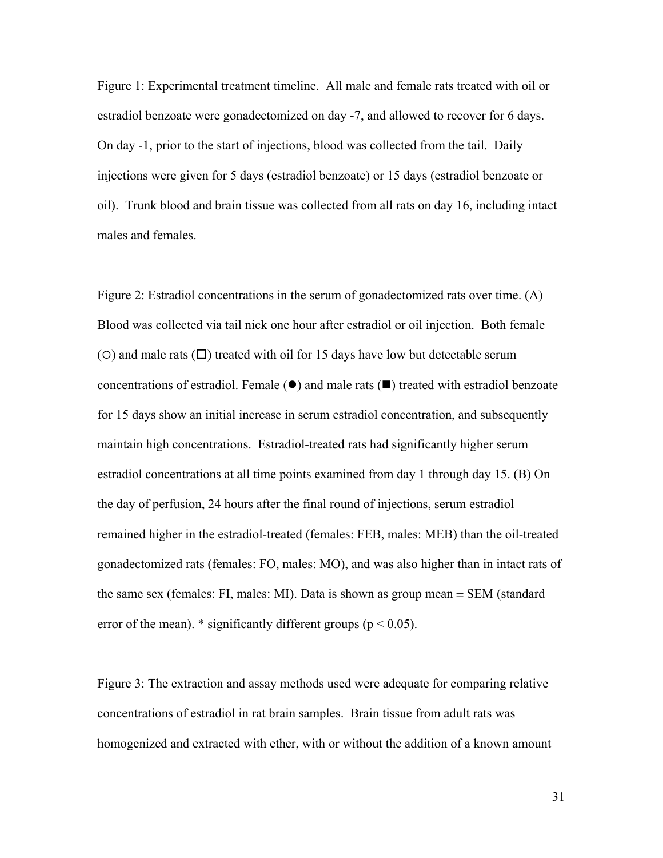Figure 1: Experimental treatment timeline. All male and female rats treated with oil or estradiol benzoate were gonadectomized on day -7, and allowed to recover for 6 days. On day -1, prior to the start of injections, blood was collected from the tail. Daily injections were given for 5 days (estradiol benzoate) or 15 days (estradiol benzoate or oil). Trunk blood and brain tissue was collected from all rats on day 16, including intact males and females.

Figure 2: Estradiol concentrations in the serum of gonadectomized rats over time. (A) Blood was collected via tail nick one hour after estradiol or oil injection. Both female ( $\circ$ ) and male rats ( $\Box$ ) treated with oil for 15 days have low but detectable serum concentrations of estradiol. Female  $(\bullet)$  and male rats  $(\bullet)$  treated with estradiol benzoate for 15 days show an initial increase in serum estradiol concentration, and subsequently maintain high concentrations. Estradiol-treated rats had significantly higher serum estradiol concentrations at all time points examined from day 1 through day 15. (B) On the day of perfusion, 24 hours after the final round of injections, serum estradiol remained higher in the estradiol-treated (females: FEB, males: MEB) than the oil-treated gonadectomized rats (females: FO, males: MO), and was also higher than in intact rats of the same sex (females: FI, males: MI). Data is shown as group mean  $\pm$  SEM (standard error of the mean).  $*$  significantly different groups ( $p < 0.05$ ).

Figure 3: The extraction and assay methods used were adequate for comparing relative concentrations of estradiol in rat brain samples. Brain tissue from adult rats was homogenized and extracted with ether, with or without the addition of a known amount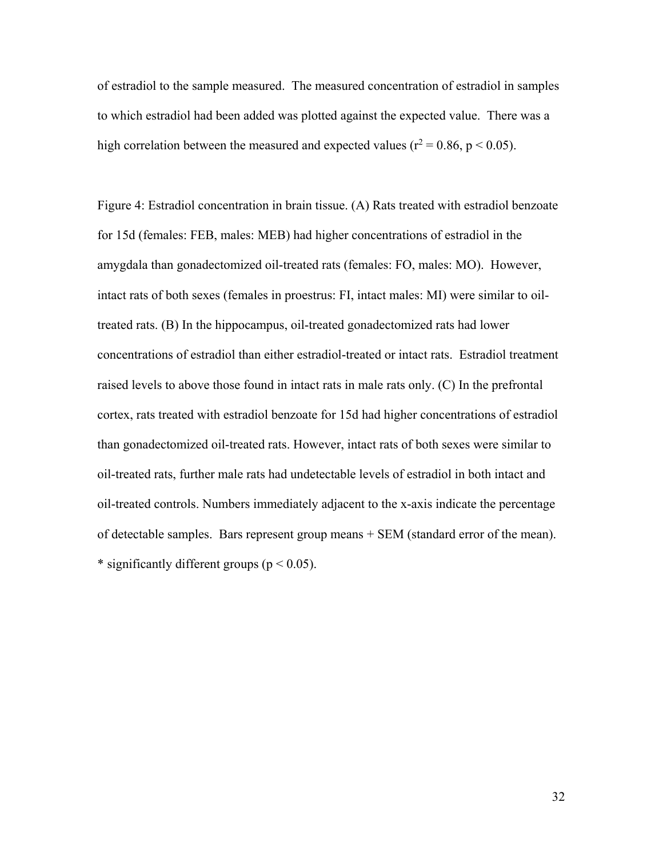of estradiol to the sample measured. The measured concentration of estradiol in samples to which estradiol had been added was plotted against the expected value. There was a high correlation between the measured and expected values ( $r^2 = 0.86$ ,  $p < 0.05$ ).

Figure 4: Estradiol concentration in brain tissue. (A) Rats treated with estradiol benzoate for 15d (females: FEB, males: MEB) had higher concentrations of estradiol in the amygdala than gonadectomized oil-treated rats (females: FO, males: MO). However, intact rats of both sexes (females in proestrus: FI, intact males: MI) were similar to oiltreated rats. (B) In the hippocampus, oil-treated gonadectomized rats had lower concentrations of estradiol than either estradiol-treated or intact rats. Estradiol treatment raised levels to above those found in intact rats in male rats only. (C) In the prefrontal cortex, rats treated with estradiol benzoate for 15d had higher concentrations of estradiol than gonadectomized oil-treated rats. However, intact rats of both sexes were similar to oil-treated rats, further male rats had undetectable levels of estradiol in both intact and oil-treated controls. Numbers immediately adjacent to the x-axis indicate the percentage of detectable samples. Bars represent group means + SEM (standard error of the mean). \* significantly different groups ( $p < 0.05$ ).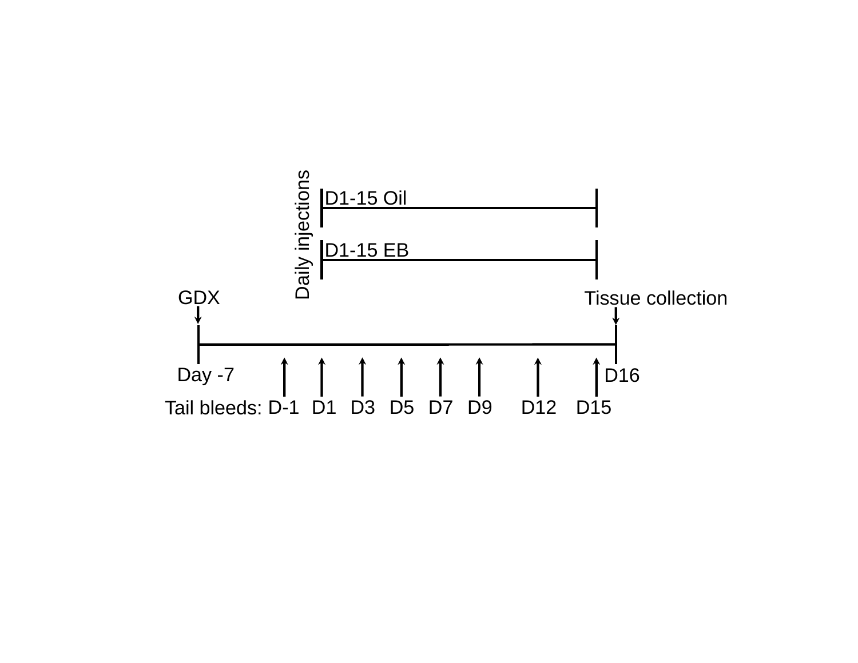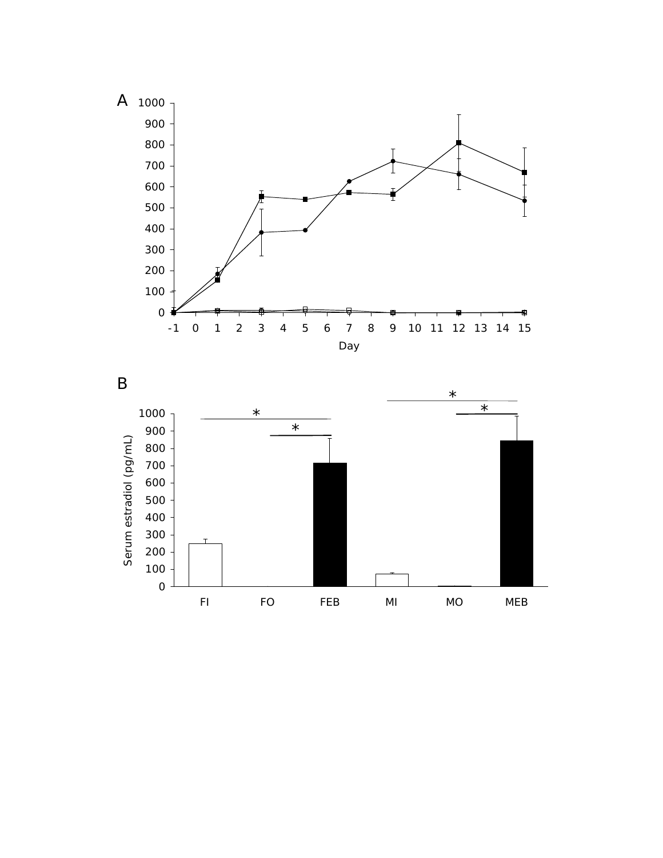

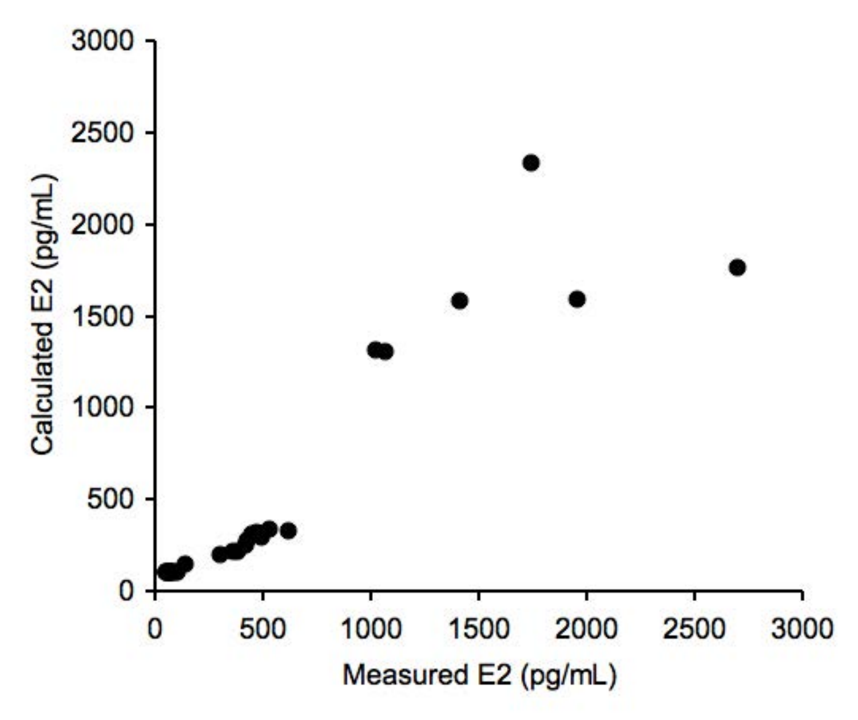